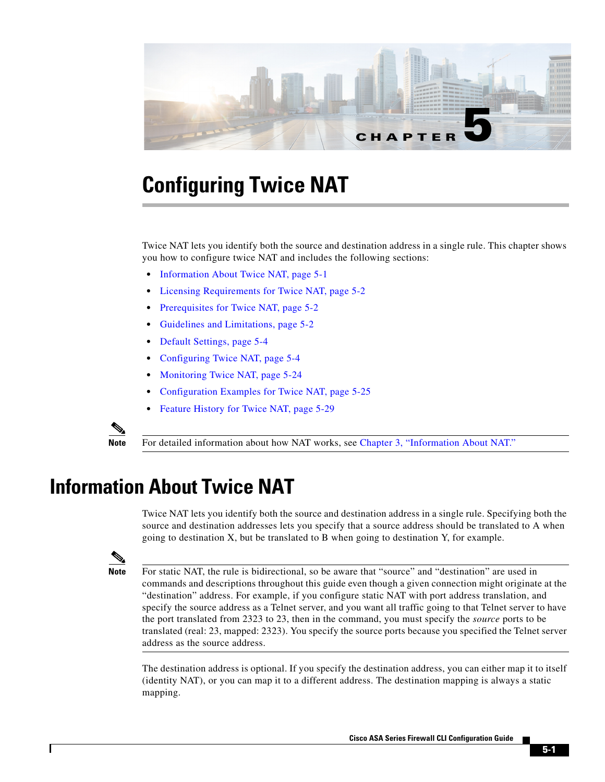

# **Configuring Twice NAT**

Twice NAT lets you identify both the source and destination address in a single rule. This chapter shows you how to configure twice NAT and includes the following sections:

- **•** [Information About Twice NAT, page 5-1](#page-0-0)
- **•** [Licensing Requirements for Twice NAT, page 5-2](#page-1-0)
- [Prerequisites for Twice NAT, page 5-2](#page-1-1)
- **•** [Guidelines and Limitations, page 5-2](#page-1-2)
- **•** [Default Settings, page 5-4](#page-3-0)
- **•** [Configuring Twice NAT, page 5-4](#page-3-1)
- **•** [Monitoring Twice NAT, page 5-24](#page-23-0)
- [Configuration Examples for Twice NAT, page 5-25](#page-24-0)
- **•** [Feature History for Twice NAT, page 5-29](#page-28-0)



**Note** For detailed information about how NAT works, see Chapter 3, "Information About NAT."

# <span id="page-0-0"></span>**Information About Twice NAT**

Twice NAT lets you identify both the source and destination address in a single rule. Specifying both the source and destination addresses lets you specify that a source address should be translated to A when going to destination X, but be translated to B when going to destination Y, for example.

 $\mathbf I$ 

**Note** For static NAT, the rule is bidirectional, so be aware that "source" and "destination" are used in commands and descriptions throughout this guide even though a given connection might originate at the "destination" address. For example, if you configure static NAT with port address translation, and specify the source address as a Telnet server, and you want all traffic going to that Telnet server to have the port translated from 2323 to 23, then in the command, you must specify the *source* ports to be translated (real: 23, mapped: 2323). You specify the source ports because you specified the Telnet server address as the source address.

The destination address is optional. If you specify the destination address, you can either map it to itself (identity NAT), or you can map it to a different address. The destination mapping is always a static mapping.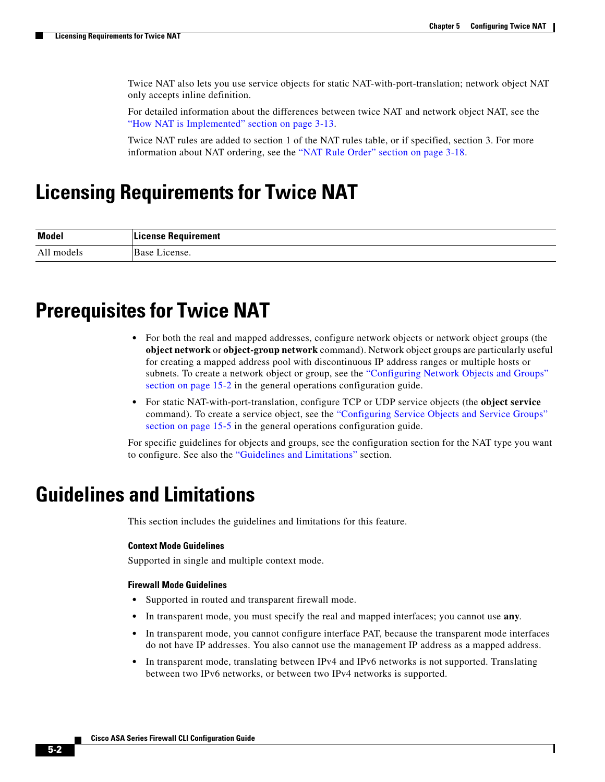Ι

Twice NAT also lets you use service objects for static NAT-with-port-translation; network object NAT only accepts inline definition.

For detailed information about the differences between twice NAT and network object NAT, see the "How NAT is Implemented" section on page 3-13.

Twice NAT rules are added to section 1 of the NAT rules table, or if specified, section 3. For more information about NAT ordering, see the "NAT Rule Order" section on page 3-18.

# <span id="page-1-0"></span>**Licensing Requirements for Twice NAT**

| <b>Model</b>      | <b>{equirement</b><br>100000 |
|-------------------|------------------------------|
| Δ1<br>models<br>. | $D_{0.02}$<br>Anso<br>15 U   |

# <span id="page-1-1"></span>**Prerequisites for Twice NAT**

- For both the real and mapped addresses, configure network objects or network object groups (the **object network** or **object-group network** command). Network object groups are particularly useful for creating a mapped address pool with discontinuous IP address ranges or multiple hosts or subnets. To create a network object or group, see the "Configuring Network Objects and Groups" section on page 15-2 in the general operations configuration guide.
- **•** For static NAT-with-port-translation, configure TCP or UDP service objects (the **object service**  command). To create a service object, see the "Configuring Service Objects and Service Groups" section on page 15-5 in the general operations configuration guide.

For specific guidelines for objects and groups, see the configuration section for the NAT type you want to configure. See also the ["Guidelines and Limitations"](#page-1-2) section.

## <span id="page-1-2"></span>**Guidelines and Limitations**

This section includes the guidelines and limitations for this feature.

### **Context Mode Guidelines**

Supported in single and multiple context mode.

### **Firewall Mode Guidelines**

- **•** Supported in routed and transparent firewall mode.
- **•** In transparent mode, you must specify the real and mapped interfaces; you cannot use **any**.
- **•** In transparent mode, you cannot configure interface PAT, because the transparent mode interfaces do not have IP addresses. You also cannot use the management IP address as a mapped address.
- In transparent mode, translating between IPv4 and IPv6 networks is not supported. Translating between two IPv6 networks, or between two IPv4 networks is supported.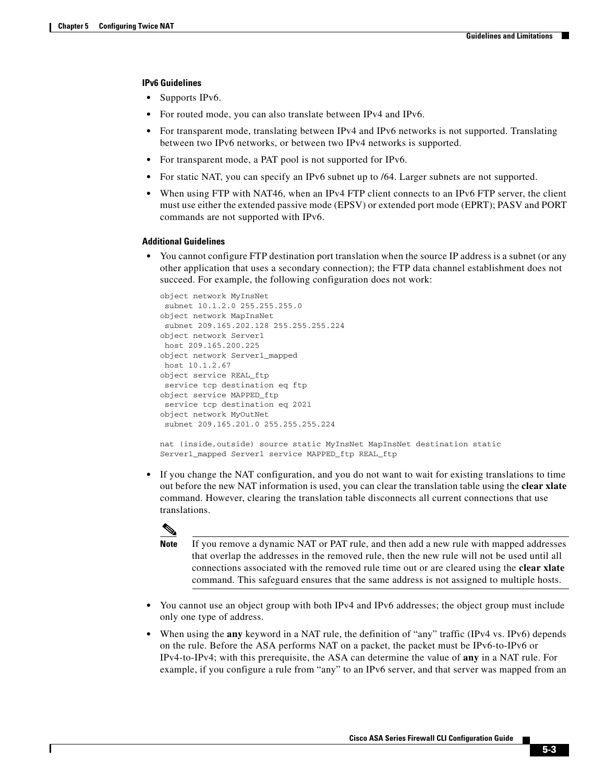### **IPv6 Guidelines**

- **•** Supports IPv6.
- **•** For routed mode, you can also translate between IPv4 and IPv6.
- For transparent mode, translating between IPv4 and IPv6 networks is not supported. Translating between two IPv6 networks, or between two IPv4 networks is supported.
- **•** For transparent mode, a PAT pool is not supported for IPv6.
- **•** For static NAT, you can specify an IPv6 subnet up to /64. Larger subnets are not supported.
- When using FTP with NAT46, when an IPv4 FTP client connects to an IPv6 FTP server, the client must use either the extended passive mode (EPSV) or extended port mode (EPRT); PASV and PORT commands are not supported with IPv6.

### **Additional Guidelines**

• You cannot configure FTP destination port translation when the source IP address is a subnet (or any other application that uses a secondary connection); the FTP data channel establishment does not succeed. For example, the following configuration does not work:

```
object network MyInsNet
 subnet 10.1.2.0 255.255.255.0
object network MapInsNet
 subnet 209.165.202.128 255.255.255.224
object network Server1
 host 209.165.200.225
object network Server1_mapped
 host 10.1.2.67
object service REAL_ftp
 service tcp destination eq ftp
object service MAPPED_ftp
 service tcp destination eq 2021
object network MyOutNet
 subnet 209.165.201.0 255.255.255.224
```

```
nat (inside, outside) source static MyInsNet MapInsNet destination static
Server1_mapped Server1_service MAPPED_ftp REAL_ftp
```
**•** If you change the NAT configuration, and you do not want to wait for existing translations to time out before the new NAT information is used, you can clear the translation table using the **clear xlate** command. However, clearing the translation table disconnects all current connections that use translations.



**Note** If you remove a dynamic NAT or PAT rule, and then add a new rule with mapped addresses that overlap the addresses in the removed rule, then the new rule will not be used until all connections associated with the removed rule time out or are cleared using the **clear xlate**  command. This safeguard ensures that the same address is not assigned to multiple hosts.

- **•** You cannot use an object group with both IPv4 and IPv6 addresses; the object group must include only one type of address.
- **•** When using the **any** keyword in a NAT rule, the definition of "any" traffic (IPv4 vs. IPv6) depends on the rule. Before the ASA performs NAT on a packet, the packet must be IPv6-to-IPv6 or IPv4-to-IPv4; with this prerequisite, the ASA can determine the value of **any** in a NAT rule. For example, if you configure a rule from "any" to an IPv6 server, and that server was mapped from an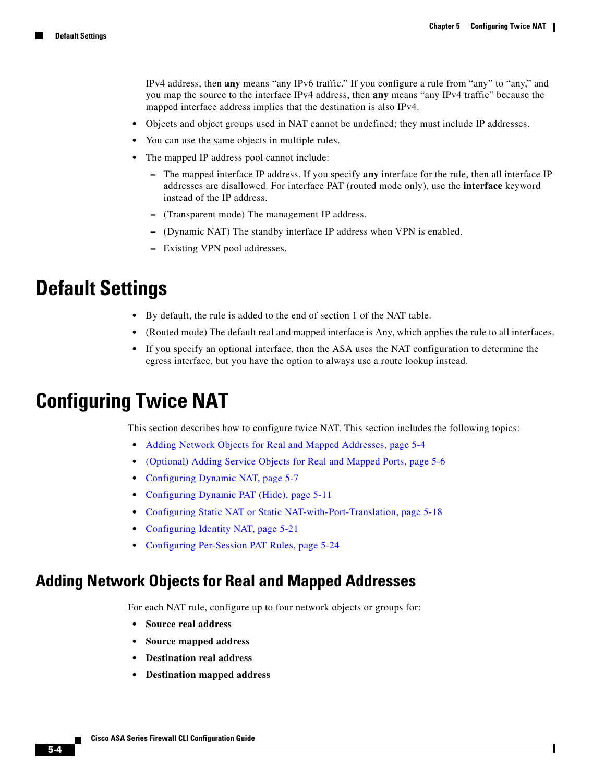Ι

IPv4 address, then **any** means "any IPv6 traffic." If you configure a rule from "any" to "any," and you map the source to the interface IPv4 address, then **any** means "any IPv4 traffic" because the mapped interface address implies that the destination is also IPv4.

- **•** Objects and object groups used in NAT cannot be undefined; they must include IP addresses.
- **•** You can use the same objects in multiple rules.
- **•** The mapped IP address pool cannot include:
	- **–** The mapped interface IP address. If you specify **any** interface for the rule, then all interface IP addresses are disallowed. For interface PAT (routed mode only), use the **interface** keyword instead of the IP address.
	- **–** (Transparent mode) The management IP address.
	- **–** (Dynamic NAT) The standby interface IP address when VPN is enabled.
	- **–** Existing VPN pool addresses.

## <span id="page-3-0"></span>**Default Settings**

- **•** By default, the rule is added to the end of section 1 of the NAT table.
- **•** (Routed mode) The default real and mapped interface is Any, which applies the rule to all interfaces.
- **•** If you specify an optional interface, then the ASA uses the NAT configuration to determine the egress interface, but you have the option to always use a route lookup instead.

## <span id="page-3-1"></span>**Configuring Twice NAT**

This section describes how to configure twice NAT. This section includes the following topics:

- **•** [Adding Network Objects for Real and Mapped Addresses, page 5-4](#page-3-2)
- **•** [\(Optional\) Adding Service Objects for Real and Mapped Ports, page 5-6](#page-5-0)
- **•** [Configuring Dynamic NAT, page 5-7](#page-6-0)
- **•** [Configuring Dynamic PAT \(Hide\), page 5-11](#page-10-0)
- **•** [Configuring Static NAT or Static NAT-with-Port-Translation, page 5-18](#page-17-0)
- **•** [Configuring Identity NAT, page 5-21](#page-20-0)
- **•** [Configuring Per-Session PAT Rules, page 5-24](#page-23-1)

## <span id="page-3-2"></span>**Adding Network Objects for Real and Mapped Addresses**

For each NAT rule, configure up to four network objects or groups for:

- **• Source real address**
- **• Source mapped address**
- **• Destination real address**
- **• Destination mapped address**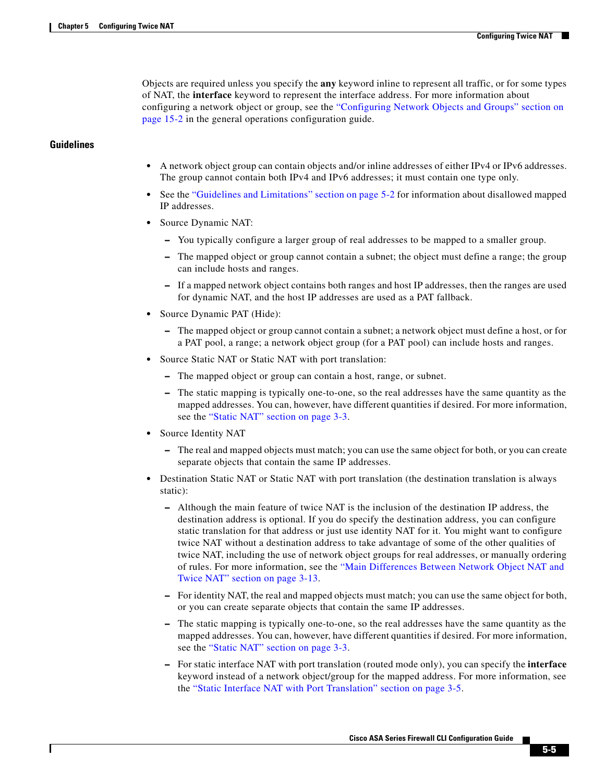Objects are required unless you specify the **any** keyword inline to represent all traffic, or for some types of NAT, the **interface** keyword to represent the interface address. For more information about configuring a network object or group, see the "Configuring Network Objects and Groups" section on page 15-2 in the general operations configuration guide.

### **Guidelines**

- A network object group can contain objects and/or inline addresses of either IPv4 or IPv6 addresses. The group cannot contain both IPv4 and IPv6 addresses; it must contain one type only.
- **•** See the ["Guidelines and Limitations" section on page 5-2](#page-1-2) for information about disallowed mapped IP addresses.
- **•** Source Dynamic NAT:
	- **–** You typically configure a larger group of real addresses to be mapped to a smaller group.
	- **–** The mapped object or group cannot contain a subnet; the object must define a range; the group can include hosts and ranges.
	- **–** If a mapped network object contains both ranges and host IP addresses, then the ranges are used for dynamic NAT, and the host IP addresses are used as a PAT fallback.
- **•** Source Dynamic PAT (Hide):
	- **–** The mapped object or group cannot contain a subnet; a network object must define a host, or for a PAT pool, a range; a network object group (for a PAT pool) can include hosts and ranges.
- **•** Source Static NAT or Static NAT with port translation:
	- **–** The mapped object or group can contain a host, range, or subnet.
	- **–** The static mapping is typically one-to-one, so the real addresses have the same quantity as the mapped addresses. You can, however, have different quantities if desired. For more information, see the "Static NAT" section on page 3-3.
- **•** Source Identity NAT
	- **–** The real and mapped objects must match; you can use the same object for both, or you can create separate objects that contain the same IP addresses.
- **•** Destination Static NAT or Static NAT with port translation (the destination translation is always static):
	- **–** Although the main feature of twice NAT is the inclusion of the destination IP address, the destination address is optional. If you do specify the destination address, you can configure static translation for that address or just use identity NAT for it. You might want to configure twice NAT without a destination address to take advantage of some of the other qualities of twice NAT, including the use of network object groups for real addresses, or manually ordering of rules. For more information, see the "Main Differences Between Network Object NAT and Twice NAT" section on page 3-13.
	- **–** For identity NAT, the real and mapped objects must match; you can use the same object for both, or you can create separate objects that contain the same IP addresses.
	- **–** The static mapping is typically one-to-one, so the real addresses have the same quantity as the mapped addresses. You can, however, have different quantities if desired. For more information, see the "Static NAT" section on page 3-3.
	- **–** For static interface NAT with port translation (routed mode only), you can specify the **interface** keyword instead of a network object/group for the mapped address. For more information, see the "Static Interface NAT with Port Translation" section on page 3-5.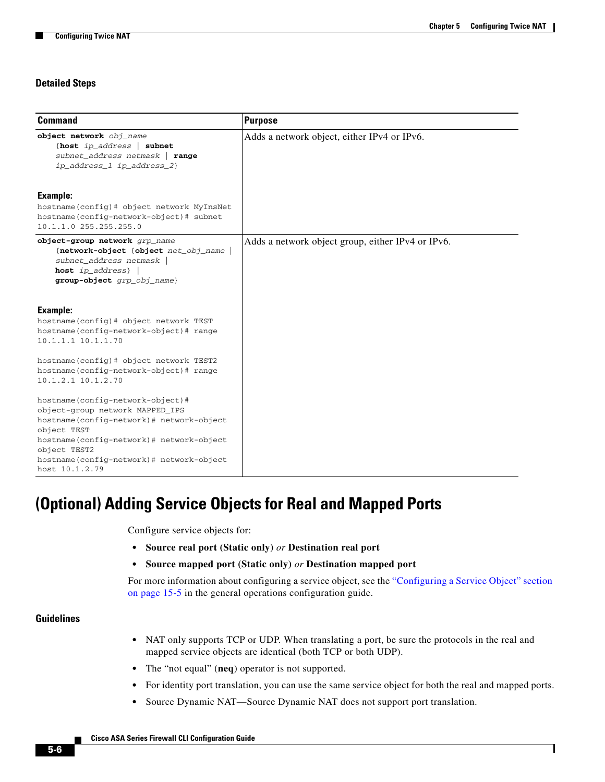ן

## **Detailed Steps**

| <b>Command</b>                                                                                                                                                                                                                                           | <b>Purpose</b>                                    |
|----------------------------------------------------------------------------------------------------------------------------------------------------------------------------------------------------------------------------------------------------------|---------------------------------------------------|
| object network obj_name<br>{host ip_address   subnet<br>subnet_address netmask   range<br>ip_address_1 ip_address_2}                                                                                                                                     | Adds a network object, either IPv4 or IPv6.       |
| Example:<br>hostname(config)# object network MyInsNet<br>hostname(config-network-object)# subnet<br>10.1.1.0 255.255.255.0                                                                                                                               |                                                   |
| object-group network grp_name<br>{network-object {object net_obj_name  <br>subnet_address netmask<br>host $ip\_address$  <br>group-object grp_obj_name}                                                                                                  | Adds a network object group, either IPv4 or IPv6. |
| Example:<br>hostname(config)# object network TEST<br>hostname(config-network-object)# range<br>10.1.1.1 10.1.1.70                                                                                                                                        |                                                   |
| hostname(config)# object network TEST2<br>hostname(config-network-object)# range<br>10.1.2.1 10.1.2.70                                                                                                                                                   |                                                   |
| hostname(config-network-object)#<br>object-group network MAPPED_IPS<br>hostname(config-network)# network-object<br>object TEST<br>hostname(config-network)# network-object<br>object TEST2<br>hostname(config-network)# network-object<br>host 10.1.2.79 |                                                   |

## <span id="page-5-0"></span>**(Optional) Adding Service Objects for Real and Mapped Ports**

Configure service objects for:

- **• Source real port (Static only)** *or* **Destination real port**
- **• Source mapped port (Static only)** *or* **Destination mapped port**

For more information about configuring a service object, see the "Configuring a Service Object" section on page 15-5 in the general operations configuration guide.

### **Guidelines**

- **•** NAT only supports TCP or UDP. When translating a port, be sure the protocols in the real and mapped service objects are identical (both TCP or both UDP).
- **•** The "not equal" (**neq**) operator is not supported.
- For identity port translation, you can use the same service object for both the real and mapped ports.
- **•** Source Dynamic NAT—Source Dynamic NAT does not support port translation.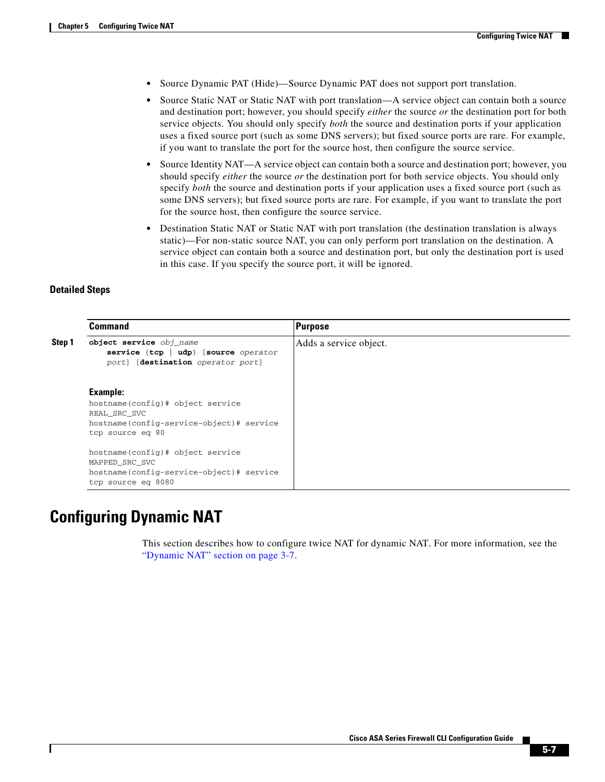- **•** Source Dynamic PAT (Hide)—Source Dynamic PAT does not support port translation.
- Source Static NAT or Static NAT with port translation—A service object can contain both a source and destination port; however, you should specify *either* the source *or* the destination port for both service objects. You should only specify *both* the source and destination ports if your application uses a fixed source port (such as some DNS servers); but fixed source ports are rare. For example, if you want to translate the port for the source host, then configure the source service.
- **•** Source Identity NAT—A service object can contain both a source and destination port; however, you should specify *either* the source *or* the destination port for both service objects. You should only specify *both* the source and destination ports if your application uses a fixed source port (such as some DNS servers); but fixed source ports are rare. For example, if you want to translate the port for the source host, then configure the source service.
- **•** Destination Static NAT or Static NAT with port translation (the destination translation is always static)—For non-static source NAT, you can only perform port translation on the destination. A service object can contain both a source and destination port, but only the destination port is used in this case. If you specify the source port, it will be ignored.

### **Detailed Steps**

 $\mathbf I$ 

|        | <b>Command</b>                                                                                                                  | Purpose                |
|--------|---------------------------------------------------------------------------------------------------------------------------------|------------------------|
| Step 1 | object service obj_name<br>service $\{ \texttt{top} \mid \texttt{udp} \}$ [source operator<br>port] [destination operator port] | Adds a service object. |
|        | Example:<br>hostname(config)# object service<br>REAL SRC SVC<br>hostname(config-service-object)# service<br>tcp source eq 80    |                        |
|        | hostname(config)# object service<br>MAPPED_SRC_SVC<br>hostname(config-service-object)# service<br>tcp source eq 8080            |                        |

## <span id="page-6-0"></span>**Configuring Dynamic NAT**

This section describes how to configure twice NAT for dynamic NAT. For more information, see the "Dynamic NAT" section on page 3-7.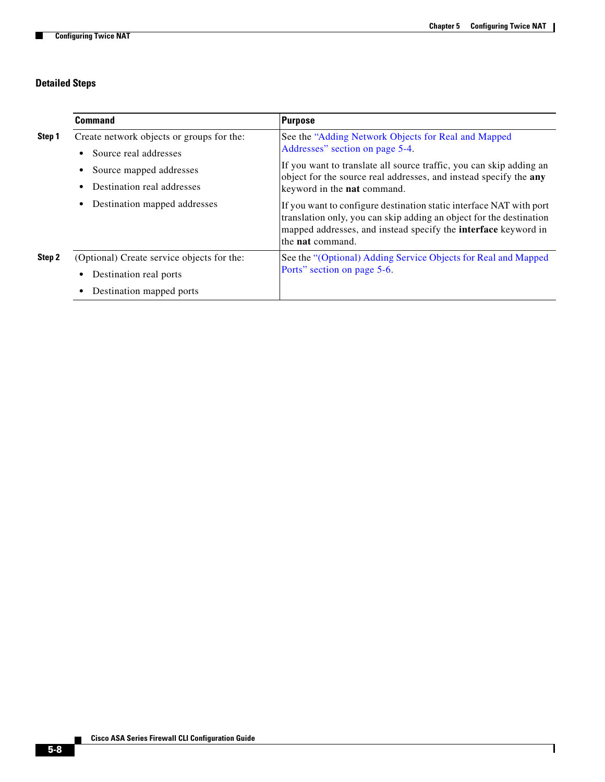## **Detailed Steps**

H

|        | <b>Command</b>                                                                                        | Purpose                                                                                                                                                                                                                                        |
|--------|-------------------------------------------------------------------------------------------------------|------------------------------------------------------------------------------------------------------------------------------------------------------------------------------------------------------------------------------------------------|
| Step 1 | Create network objects or groups for the:<br>Source real addresses<br>$\bullet$                       | See the "Adding Network Objects for Real and Mapped<br>Addresses" section on page 5-4.                                                                                                                                                         |
|        | Source mapped addresses<br>٠<br>Destination real addresses<br>$\bullet$                               | If you want to translate all source traffic, you can skip adding an<br>object for the source real addresses, and instead specify the any<br>keyword in the <b>nat</b> command.                                                                 |
|        | Destination mapped addresses<br>٠                                                                     | If you want to configure destination static interface NAT with port<br>translation only, you can skip adding an object for the destination<br>mapped addresses, and instead specify the <b>interface</b> keyword in<br>the <b>nat</b> command. |
| Step 2 | (Optional) Create service objects for the:<br>Destination real ports<br>٠<br>Destination mapped ports | See the "(Optional) Adding Service Objects for Real and Mapped<br>Ports" section on page 5-6.                                                                                                                                                  |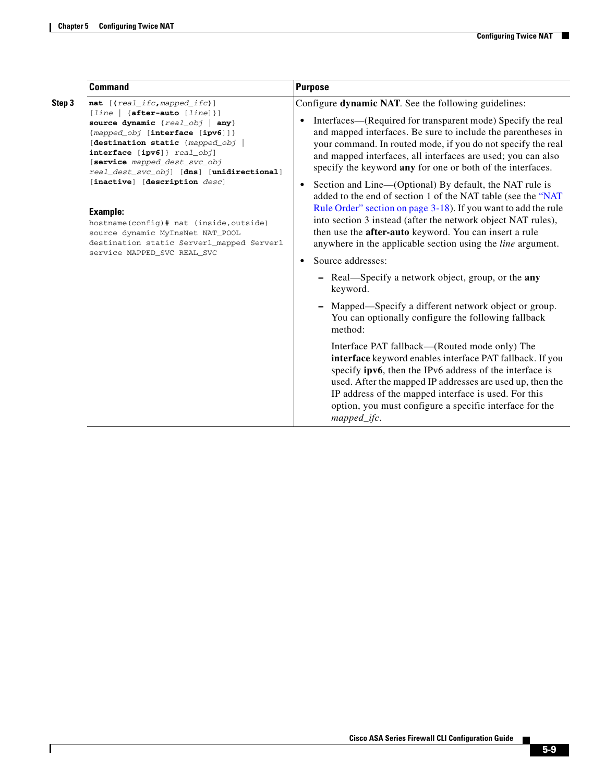$\mathbf{I}$ 

| <b>Command</b>                                                                                                                                                                                                                                                                                                                                                                                                                                                                                                          | <b>Purpose</b>                                                                                                                                                                                                                                                                                                                                                                                                                                                                                                                                                                                                                                                                                                                                                                                                                                                                                                                                                                                                                                                                                                                                                                                                                                                                                                                                                                                       |
|-------------------------------------------------------------------------------------------------------------------------------------------------------------------------------------------------------------------------------------------------------------------------------------------------------------------------------------------------------------------------------------------------------------------------------------------------------------------------------------------------------------------------|------------------------------------------------------------------------------------------------------------------------------------------------------------------------------------------------------------------------------------------------------------------------------------------------------------------------------------------------------------------------------------------------------------------------------------------------------------------------------------------------------------------------------------------------------------------------------------------------------------------------------------------------------------------------------------------------------------------------------------------------------------------------------------------------------------------------------------------------------------------------------------------------------------------------------------------------------------------------------------------------------------------------------------------------------------------------------------------------------------------------------------------------------------------------------------------------------------------------------------------------------------------------------------------------------------------------------------------------------------------------------------------------------|
| Step 3<br>$nat$ [( $real\_ifc$ , mapped_ifc)]<br>[line   {after-auto [line]}]<br>source dynamic {real_obj   any}<br>{mapped_obj [interface [ipv6]]}<br>[destination static {mapped_obj<br>$interface [ipv6]$ } $real\_obj]$<br>[service mapped_dest_svc_obj<br>real_dest_svc_obj] [dns] [unidirectional]<br>[inactive] [description desc]<br><b>Example:</b><br>hostname(config)# nat (inside, outside)<br>source dynamic MyInsNet NAT_POOL<br>destination static Server1_mapped Server1<br>service MAPPED_SVC REAL_SVC | Configure dynamic NAT. See the following guidelines:<br>Interfaces—(Required for transparent mode) Specify the real<br>$\bullet$<br>and mapped interfaces. Be sure to include the parentheses in<br>your command. In routed mode, if you do not specify the real<br>and mapped interfaces, all interfaces are used; you can also<br>specify the keyword any for one or both of the interfaces.<br>Section and Line—(Optional) By default, the NAT rule is<br>$\bullet$<br>added to the end of section 1 of the NAT table (see the "NAT<br>Rule Order" section on page 3-18). If you want to add the rule<br>into section 3 instead (after the network object NAT rules),<br>then use the <b>after-auto</b> keyword. You can insert a rule<br>anywhere in the applicable section using the <i>line</i> argument.<br>Source addresses:<br>$\bullet$<br>- Real-Specify a network object, group, or the any<br>keyword.<br>Mapped—Specify a different network object or group.<br>You can optionally configure the following fallback<br>method:<br>Interface PAT fallback—(Routed mode only) The<br>interface keyword enables interface PAT fallback. If you<br>specify ipv6, then the IPv6 address of the interface is<br>used. After the mapped IP addresses are used up, then the<br>IP address of the mapped interface is used. For this<br>option, you must configure a specific interface for the |

 $\blacksquare$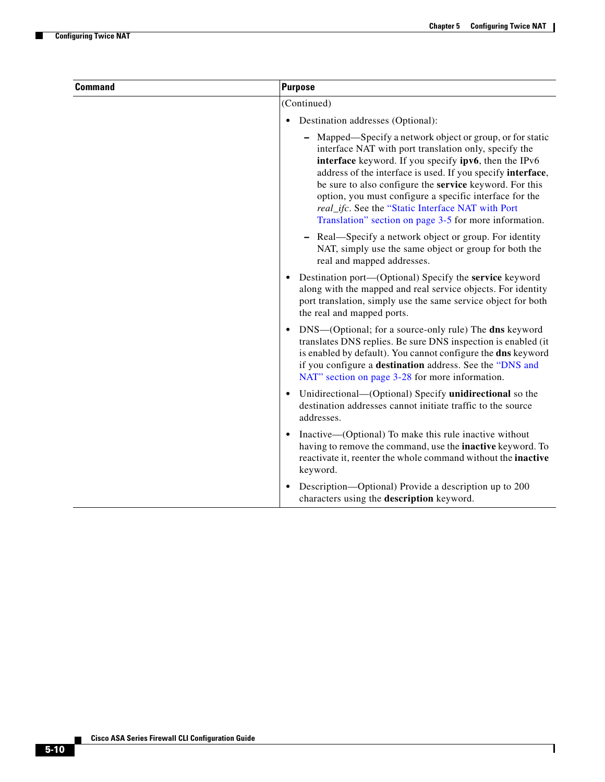H

| <b>Command</b> | <b>Purpose</b>                                                                                                                                                                                                                                                                                                                                                                                                                                                                |
|----------------|-------------------------------------------------------------------------------------------------------------------------------------------------------------------------------------------------------------------------------------------------------------------------------------------------------------------------------------------------------------------------------------------------------------------------------------------------------------------------------|
|                | (Continued)                                                                                                                                                                                                                                                                                                                                                                                                                                                                   |
|                | Destination addresses (Optional):<br>$\bullet$                                                                                                                                                                                                                                                                                                                                                                                                                                |
|                | Mapped—Specify a network object or group, or for static<br>interface NAT with port translation only, specify the<br>interface keyword. If you specify ipv6, then the IPv6<br>address of the interface is used. If you specify interface,<br>be sure to also configure the service keyword. For this<br>option, you must configure a specific interface for the<br>real_ifc. See the "Static Interface NAT with Port<br>Translation" section on page 3-5 for more information. |
|                | Real—Specify a network object or group. For identity<br>NAT, simply use the same object or group for both the<br>real and mapped addresses.                                                                                                                                                                                                                                                                                                                                   |
|                | Destination port—(Optional) Specify the service keyword<br>along with the mapped and real service objects. For identity<br>port translation, simply use the same service object for both<br>the real and mapped ports.                                                                                                                                                                                                                                                        |
|                | DNS-(Optional; for a source-only rule) The dns keyword<br>translates DNS replies. Be sure DNS inspection is enabled (it<br>is enabled by default). You cannot configure the dns keyword<br>if you configure a destination address. See the "DNS and<br>NAT" section on page 3-28 for more information.                                                                                                                                                                        |
|                | Unidirectional—(Optional) Specify unidirectional so the<br>$\bullet$<br>destination addresses cannot initiate traffic to the source<br>addresses.                                                                                                                                                                                                                                                                                                                             |
|                | Inactive—(Optional) To make this rule inactive without<br>having to remove the command, use the inactive keyword. To<br>reactivate it, reenter the whole command without the inactive<br>keyword.                                                                                                                                                                                                                                                                             |
|                | Description—Optional) Provide a description up to 200<br>characters using the description keyword.                                                                                                                                                                                                                                                                                                                                                                            |

П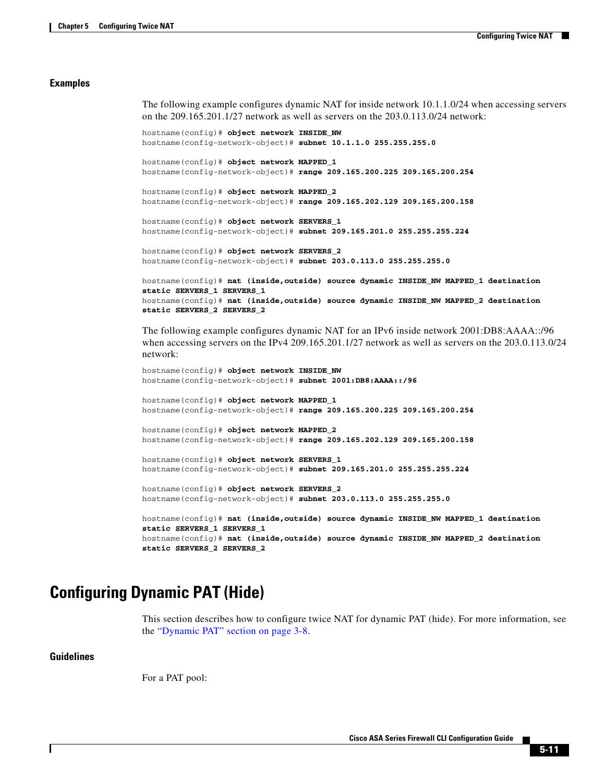#### **Examples**

The following example configures dynamic NAT for inside network 10.1.1.0/24 when accessing servers on the 209.165.201.1/27 network as well as servers on the 203.0.113.0/24 network:

```
hostname(config)# object network INSIDE_NW
hostname(config-network-object)# subnet 10.1.1.0 255.255.255.0
hostname(config)# object network MAPPED_1
hostname(config-network-object)# range 209.165.200.225 209.165.200.254
hostname(config)# object network MAPPED_2
hostname(config-network-object)# range 209.165.202.129 209.165.200.158
hostname(config)# object network SERVERS_1
hostname(config-network-object)# subnet 209.165.201.0 255.255.255.224
hostname(config)# object network SERVERS_2
hostname(config-network-object)# subnet 203.0.113.0 255.255.255.0
hostname(config)# nat (inside,outside) source dynamic INSIDE_NW MAPPED_1 destination
```

```
static SERVERS_1 SERVERS_1
hostname(config)# nat (inside,outside) source dynamic INSIDE_NW MAPPED_2 destination 
static SERVERS_2 SERVERS_2
```
The following example configures dynamic NAT for an IPv6 inside network 2001:DB8:AAAA::/96 when accessing servers on the IPv4 209.165.201.1/27 network as well as servers on the 203.0.113.0/24 network:

```
hostname(config)# object network INSIDE_NW
hostname(config-network-object)# subnet 2001:DB8:AAAA::/96
```
hostname(config)# **object network MAPPED\_1** hostname(config-network-object)# **range 209.165.200.225 209.165.200.254** hostname(config)# **object network MAPPED\_2** hostname(config-network-object)# **range 209.165.202.129 209.165.200.158**

hostname(config)# **object network SERVERS\_1** hostname(config-network-object)# **subnet 209.165.201.0 255.255.255.224**

```
hostname(config)# object network SERVERS_2
hostname(config-network-object)# subnet 203.0.113.0 255.255.255.0
```
hostname(config)# **nat (inside,outside) source dynamic INSIDE\_NW MAPPED\_1 destination static SERVERS\_1 SERVERS\_1** hostname(config)# **nat (inside,outside) source dynamic INSIDE\_NW MAPPED\_2 destination static SERVERS\_2 SERVERS\_2**

## <span id="page-10-0"></span>**Configuring Dynamic PAT (Hide)**

This section describes how to configure twice NAT for dynamic PAT (hide). For more information, see the "Dynamic PAT" section on page 3-8.

### **Guidelines**

For a PAT pool: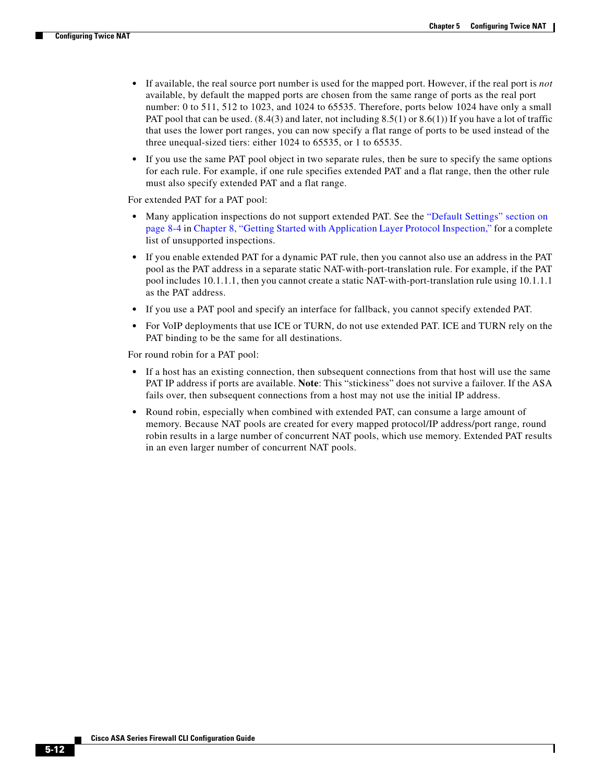Ι

- **•** If available, the real source port number is used for the mapped port. However, if the real port is *not* available, by default the mapped ports are chosen from the same range of ports as the real port number: 0 to 511, 512 to 1023, and 1024 to 65535. Therefore, ports below 1024 have only a small PAT pool that can be used.  $(8.4(3)$  and later, not including  $8.5(1)$  or  $8.6(1)$ ) If you have a lot of traffic that uses the lower port ranges, you can now specify a flat range of ports to be used instead of the three unequal-sized tiers: either 1024 to 65535, or 1 to 65535.
- If you use the same PAT pool object in two separate rules, then be sure to specify the same options for each rule. For example, if one rule specifies extended PAT and a flat range, then the other rule must also specify extended PAT and a flat range.

For extended PAT for a PAT pool:

- Many application inspections do not support extended PAT. See the "Default Settings" section on page 8-4 in Chapter 8, "Getting Started with Application Layer Protocol Inspection," for a complete list of unsupported inspections.
- **•** If you enable extended PAT for a dynamic PAT rule, then you cannot also use an address in the PAT pool as the PAT address in a separate static NAT-with-port-translation rule. For example, if the PAT pool includes 10.1.1.1, then you cannot create a static NAT-with-port-translation rule using 10.1.1.1 as the PAT address.
- **•** If you use a PAT pool and specify an interface for fallback, you cannot specify extended PAT.
- **•** For VoIP deployments that use ICE or TURN, do not use extended PAT. ICE and TURN rely on the PAT binding to be the same for all destinations.

For round robin for a PAT pool:

- If a host has an existing connection, then subsequent connections from that host will use the same PAT IP address if ports are available. **Note**: This "stickiness" does not survive a failover. If the ASA fails over, then subsequent connections from a host may not use the initial IP address.
- **•** Round robin, especially when combined with extended PAT, can consume a large amount of memory. Because NAT pools are created for every mapped protocol/IP address/port range, round robin results in a large number of concurrent NAT pools, which use memory. Extended PAT results in an even larger number of concurrent NAT pools.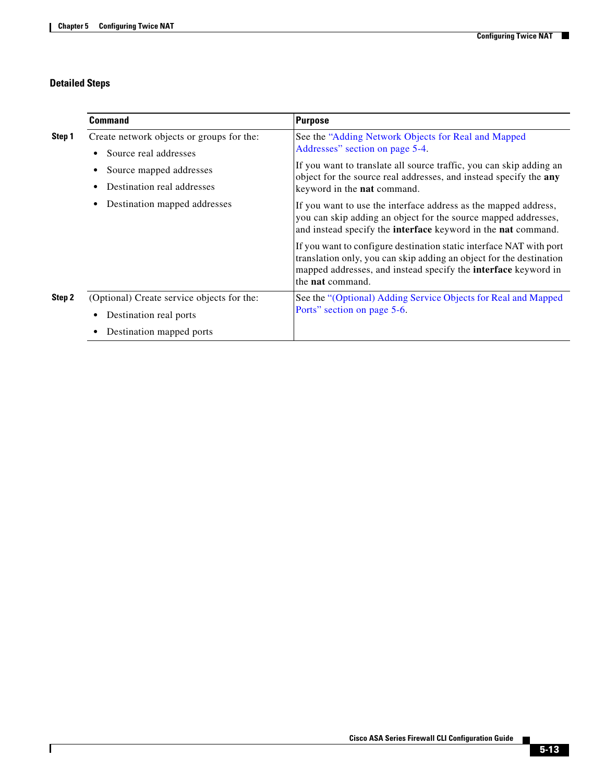## **Detailed Steps**

 $\mathbf{I}$ 

|        | <b>Command</b>                                                            | <b>Purpose</b>                                                                                                                                                                                                                                 |
|--------|---------------------------------------------------------------------------|------------------------------------------------------------------------------------------------------------------------------------------------------------------------------------------------------------------------------------------------|
| Step 1 | Create network objects or groups for the:<br>Source real addresses<br>٠   | See the "Adding Network Objects for Real and Mapped<br>Addresses" section on page 5-4.                                                                                                                                                         |
|        | Source mapped addresses<br>٠<br>Destination real addresses<br>٠           | If you want to translate all source traffic, you can skip adding an<br>object for the source real addresses, and instead specify the any<br>keyword in the <b>nat</b> command.                                                                 |
|        | Destination mapped addresses<br>٠                                         | If you want to use the interface address as the mapped address,<br>you can skip adding an object for the source mapped addresses,<br>and instead specify the <b>interface</b> keyword in the <b>nat</b> command.                               |
|        |                                                                           | If you want to configure destination static interface NAT with port<br>translation only, you can skip adding an object for the destination<br>mapped addresses, and instead specify the <b>interface</b> keyword in<br>the <b>nat</b> command. |
| Step 2 | (Optional) Create service objects for the:<br>Destination real ports<br>٠ | See the "(Optional) Adding Service Objects for Real and Mapped<br>Ports" section on page 5-6.                                                                                                                                                  |
|        | Destination mapped ports<br>$\bullet$                                     |                                                                                                                                                                                                                                                |

 $\blacksquare$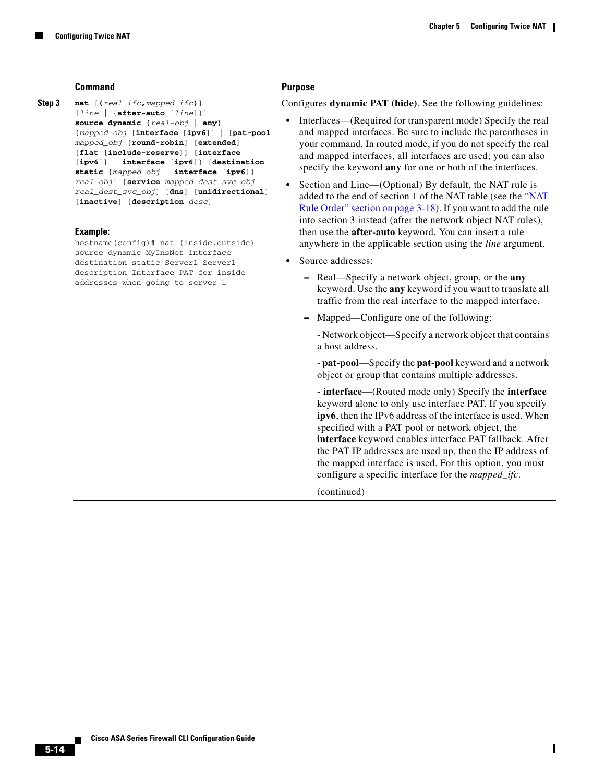H

|        | <b>Command</b>                                                                                                                                                                                                                                                                                                                            | <b>Purpose</b>                                                                                                                                                                                                                                                                                                                                                                                                                                                                    |
|--------|-------------------------------------------------------------------------------------------------------------------------------------------------------------------------------------------------------------------------------------------------------------------------------------------------------------------------------------------|-----------------------------------------------------------------------------------------------------------------------------------------------------------------------------------------------------------------------------------------------------------------------------------------------------------------------------------------------------------------------------------------------------------------------------------------------------------------------------------|
| Step 3 | nat [(real_ifc, mapped_ifc)]                                                                                                                                                                                                                                                                                                              | Configures dynamic PAT (hide). See the following guidelines:                                                                                                                                                                                                                                                                                                                                                                                                                      |
|        | $[line   {after-auto [line] }]$<br>source dynamic {real-obj   any}<br>{mapped_obj [interface [ipv6]]   [pat-pool<br>mapped_obj [round-robin] [extended]<br>[flat [include-reserve]] [interface<br>[ipv6]]   interface [ipv6]} [destination<br>static {mapped_obj   interface [ipv6]}                                                      | Interfaces—(Required for transparent mode) Specify the real<br>$\bullet$<br>and mapped interfaces. Be sure to include the parentheses in<br>your command. In routed mode, if you do not specify the real<br>and mapped interfaces, all interfaces are used; you can also<br>specify the keyword any for one or both of the interfaces.                                                                                                                                            |
|        | real_obj] [service mapped_dest_svc_obj<br>real_dest_svc_obj] [dns] [unidirectional]<br>[inactive] [description desc]<br><b>Example:</b><br>hostname(config)# nat (inside, outside)<br>source dynamic MyInsNet interface<br>destination static Server1 Server1<br>description Interface PAT for inside<br>addresses when going to server 1 | Section and Line-(Optional) By default, the NAT rule is<br>$\bullet$<br>added to the end of section 1 of the NAT table (see the "NAT<br>Rule Order" section on page 3-18). If you want to add the rule<br>into section 3 instead (after the network object NAT rules),                                                                                                                                                                                                            |
|        |                                                                                                                                                                                                                                                                                                                                           | then use the after-auto keyword. You can insert a rule<br>anywhere in the applicable section using the <i>line</i> argument.                                                                                                                                                                                                                                                                                                                                                      |
|        |                                                                                                                                                                                                                                                                                                                                           | Source addresses:<br>$\bullet$                                                                                                                                                                                                                                                                                                                                                                                                                                                    |
|        |                                                                                                                                                                                                                                                                                                                                           | - Real—Specify a network object, group, or the any<br>keyword. Use the any keyword if you want to translate all<br>traffic from the real interface to the mapped interface.                                                                                                                                                                                                                                                                                                       |
|        |                                                                                                                                                                                                                                                                                                                                           | Mapped—Configure one of the following:                                                                                                                                                                                                                                                                                                                                                                                                                                            |
|        |                                                                                                                                                                                                                                                                                                                                           | - Network object—Specify a network object that contains<br>a host address.                                                                                                                                                                                                                                                                                                                                                                                                        |
|        |                                                                                                                                                                                                                                                                                                                                           | - pat-pool—Specify the pat-pool keyword and a network<br>object or group that contains multiple addresses.                                                                                                                                                                                                                                                                                                                                                                        |
|        |                                                                                                                                                                                                                                                                                                                                           | - interface—(Routed mode only) Specify the interface<br>keyword alone to only use interface PAT. If you specify<br>ipv6, then the IPv6 address of the interface is used. When<br>specified with a PAT pool or network object, the<br>interface keyword enables interface PAT fallback. After<br>the PAT IP addresses are used up, then the IP address of<br>the mapped interface is used. For this option, you must<br>configure a specific interface for the <i>mapped_ifc</i> . |
|        |                                                                                                                                                                                                                                                                                                                                           | (continued)                                                                                                                                                                                                                                                                                                                                                                                                                                                                       |

П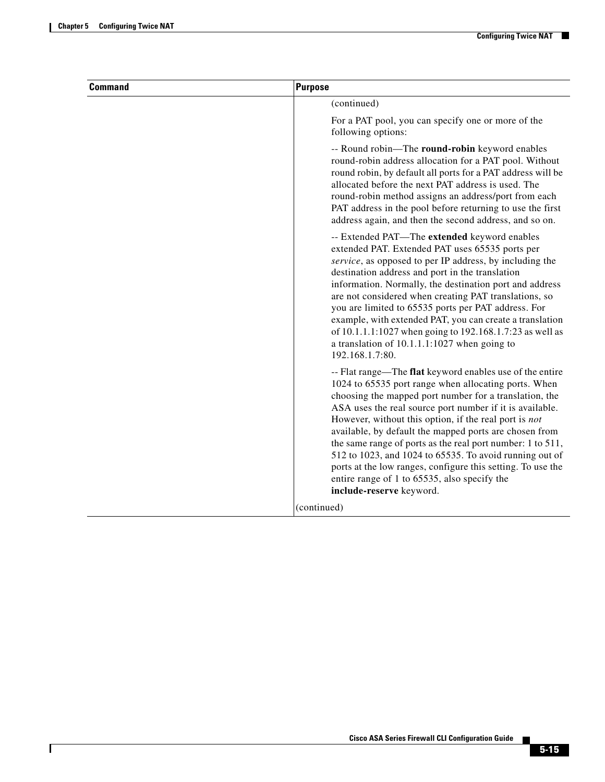$\mathbf{I}$ 

| <b>Command</b> | <b>Purpose</b>                                                                                                                                                                                                                                                                                                                                                                                                                                                                                                                                                                                                                |
|----------------|-------------------------------------------------------------------------------------------------------------------------------------------------------------------------------------------------------------------------------------------------------------------------------------------------------------------------------------------------------------------------------------------------------------------------------------------------------------------------------------------------------------------------------------------------------------------------------------------------------------------------------|
|                | (continued)                                                                                                                                                                                                                                                                                                                                                                                                                                                                                                                                                                                                                   |
|                | For a PAT pool, you can specify one or more of the<br>following options:                                                                                                                                                                                                                                                                                                                                                                                                                                                                                                                                                      |
|                | -- Round robin—The round-robin keyword enables<br>round-robin address allocation for a PAT pool. Without<br>round robin, by default all ports for a PAT address will be<br>allocated before the next PAT address is used. The<br>round-robin method assigns an address/port from each<br>PAT address in the pool before returning to use the first<br>address again, and then the second address, and so on.                                                                                                                                                                                                                  |
|                | -- Extended PAT—The extended keyword enables<br>extended PAT. Extended PAT uses 65535 ports per<br>service, as opposed to per IP address, by including the<br>destination address and port in the translation<br>information. Normally, the destination port and address<br>are not considered when creating PAT translations, so<br>you are limited to 65535 ports per PAT address. For<br>example, with extended PAT, you can create a translation<br>of 10.1.1.1:1027 when going to 192.168.1.7:23 as well as<br>a translation of 10.1.1.1:1027 when going to<br>192.168.1.7:80.                                           |
|                | -- Flat range—The flat keyword enables use of the entire<br>1024 to 65535 port range when allocating ports. When<br>choosing the mapped port number for a translation, the<br>ASA uses the real source port number if it is available.<br>However, without this option, if the real port is not<br>available, by default the mapped ports are chosen from<br>the same range of ports as the real port number: 1 to 511,<br>512 to 1023, and 1024 to 65535. To avoid running out of<br>ports at the low ranges, configure this setting. To use the<br>entire range of 1 to 65535, also specify the<br>include-reserve keyword. |
|                | (continued)                                                                                                                                                                                                                                                                                                                                                                                                                                                                                                                                                                                                                   |

 $\blacksquare$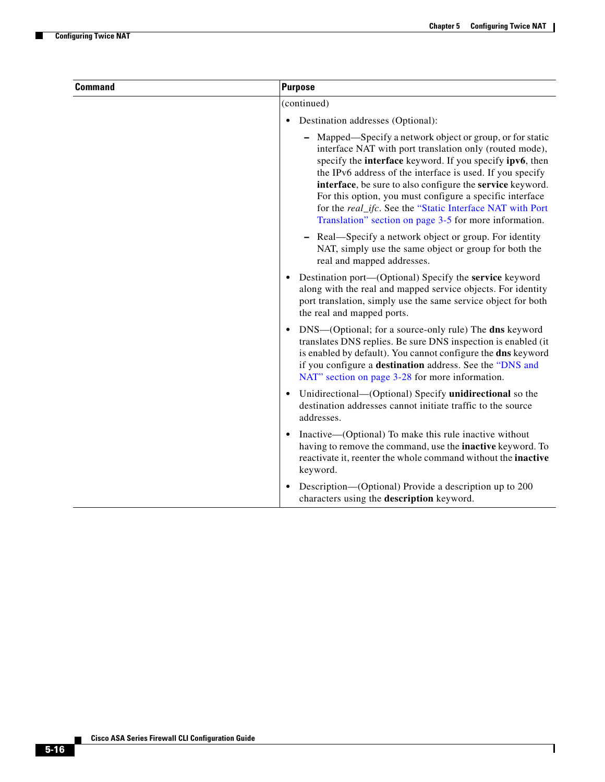H

| <b>Command</b> | <b>Purpose</b>                                                                                                                                                                                                                                                                                                                                                                                                                                                                              |
|----------------|---------------------------------------------------------------------------------------------------------------------------------------------------------------------------------------------------------------------------------------------------------------------------------------------------------------------------------------------------------------------------------------------------------------------------------------------------------------------------------------------|
|                | (continued)                                                                                                                                                                                                                                                                                                                                                                                                                                                                                 |
|                | Destination addresses (Optional):<br>$\bullet$                                                                                                                                                                                                                                                                                                                                                                                                                                              |
|                | Mapped—Specify a network object or group, or for static<br>interface NAT with port translation only (routed mode),<br>specify the interface keyword. If you specify ipv6, then<br>the IPv6 address of the interface is used. If you specify<br>interface, be sure to also configure the service keyword.<br>For this option, you must configure a specific interface<br>for the real_ifc. See the "Static Interface NAT with Port<br>Translation" section on page 3-5 for more information. |
|                | Real—Specify a network object or group. For identity<br>NAT, simply use the same object or group for both the<br>real and mapped addresses.                                                                                                                                                                                                                                                                                                                                                 |
|                | Destination port—(Optional) Specify the service keyword<br>along with the real and mapped service objects. For identity<br>port translation, simply use the same service object for both<br>the real and mapped ports.                                                                                                                                                                                                                                                                      |
|                | DNS—(Optional; for a source-only rule) The dns keyword<br>$\bullet$<br>translates DNS replies. Be sure DNS inspection is enabled (it<br>is enabled by default). You cannot configure the dns keyword<br>if you configure a destination address. See the "DNS and<br>NAT" section on page 3-28 for more information.                                                                                                                                                                         |
|                | Unidirectional—(Optional) Specify unidirectional so the<br>destination addresses cannot initiate traffic to the source<br>addresses.                                                                                                                                                                                                                                                                                                                                                        |
|                | Inactive—(Optional) To make this rule inactive without<br>$\bullet$<br>having to remove the command, use the <b>inactive</b> keyword. To<br>reactivate it, reenter the whole command without the inactive<br>keyword.                                                                                                                                                                                                                                                                       |
|                | Description—(Optional) Provide a description up to 200<br>characters using the description keyword.                                                                                                                                                                                                                                                                                                                                                                                         |

П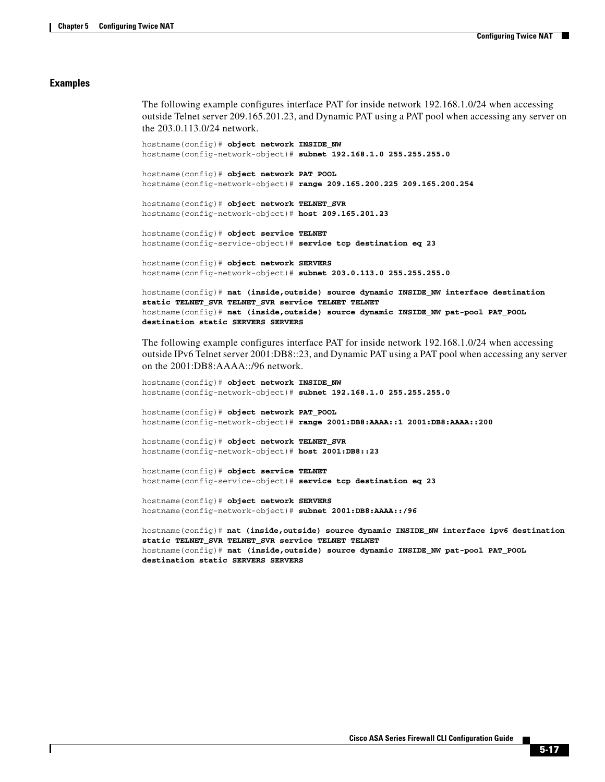#### **Examples**

The following example configures interface PAT for inside network 192.168.1.0/24 when accessing outside Telnet server 209.165.201.23, and Dynamic PAT using a PAT pool when accessing any server on the 203.0.113.0/24 network.

```
hostname(config)# object network INSIDE_NW
hostname(config-network-object)# subnet 192.168.1.0 255.255.255.0
```
hostname(config)# **object network PAT\_POOL** hostname(config-network-object)# **range 209.165.200.225 209.165.200.254**

```
hostname(config)# object network TELNET_SVR
hostname(config-network-object)# host 209.165.201.23
```
hostname(config)# **object service TELNET** hostname(config-service-object)# **service tcp destination eq 23**

```
hostname(config)# object network SERVERS
hostname(config-network-object)# subnet 203.0.113.0 255.255.255.0
```

```
hostname(config)# nat (inside,outside) source dynamic INSIDE_NW interface destination 
static TELNET_SVR TELNET_SVR service TELNET TELNET
hostname(config)# nat (inside,outside) source dynamic INSIDE_NW pat-pool PAT_POOL 
destination static SERVERS SERVERS
```
The following example configures interface PAT for inside network 192.168.1.0/24 when accessing outside IPv6 Telnet server 2001:DB8::23, and Dynamic PAT using a PAT pool when accessing any server on the 2001:DB8:AAAA::/96 network.

```
hostname(config)# object network INSIDE_NW
hostname(config-network-object)# subnet 192.168.1.0 255.255.255.0
```

```
hostname(config)# object network PAT_POOL
hostname(config-network-object)# range 2001:DB8:AAAA::1 2001:DB8:AAAA::200
```

```
hostname(config)# object network TELNET_SVR
hostname(config-network-object)# host 2001:DB8::23
```

```
hostname(config)# object service TELNET
hostname(config-service-object)# service tcp destination eq 23
```

```
hostname(config)# object network SERVERS
hostname(config-network-object)# subnet 2001:DB8:AAAA::/96
```

```
hostname(config)# nat (inside,outside) source dynamic INSIDE_NW interface ipv6 destination 
static TELNET_SVR TELNET_SVR service TELNET TELNET
hostname(config)# nat (inside,outside) source dynamic INSIDE_NW pat-pool PAT_POOL 
destination static SERVERS SERVERS
```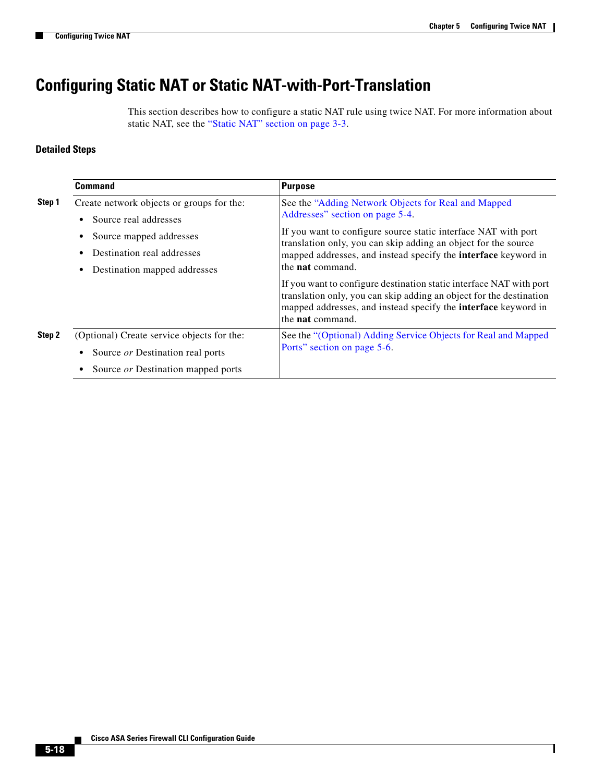## <span id="page-17-0"></span>**Configuring Static NAT or Static NAT-with-Port-Translation**

This section describes how to configure a static NAT rule using twice NAT. For more information about static NAT, see the "Static NAT" section on page 3-3.

## **Detailed Steps**

|        | <b>Command</b>                                                                                                                                | <b>Purpose</b>                                                                                                                                                                                                                                                                                                                 |
|--------|-----------------------------------------------------------------------------------------------------------------------------------------------|--------------------------------------------------------------------------------------------------------------------------------------------------------------------------------------------------------------------------------------------------------------------------------------------------------------------------------|
| Step 1 | Create network objects or groups for the:<br>Source real addresses<br>$\bullet$<br>Source mapped addresses<br>٠<br>Destination real addresses | See the "Adding Network Objects for Real and Mapped<br>Addresses" section on page 5-4.<br>If you want to configure source static interface NAT with port<br>translation only, you can skip adding an object for the source<br>mapped addresses, and instead specify the <b>interface</b> keyword in<br>the <b>nat</b> command. |
|        | Destination mapped addresses<br>٠                                                                                                             | If you want to configure destination static interface NAT with port<br>translation only, you can skip adding an object for the destination<br>mapped addresses, and instead specify the <b>interface</b> keyword in<br>the <b>nat</b> command.                                                                                 |
| Step 2 | (Optional) Create service objects for the:<br>Source or Destination real ports<br>٠<br>Source or Destination mapped ports                     | See the "(Optional) Adding Service Objects for Real and Mapped<br>Ports" section on page 5-6.                                                                                                                                                                                                                                  |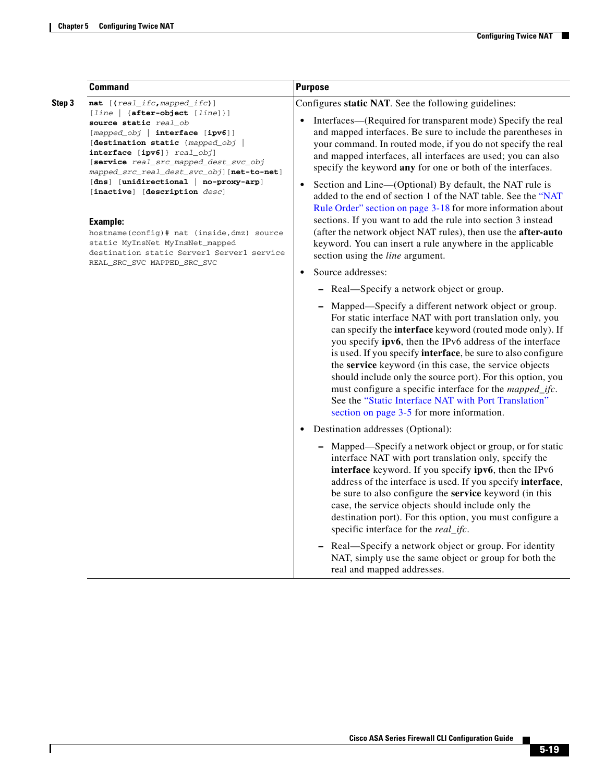$\mathbf{I}$ 

|        | <b>Command</b>                                                                                                                                                                                                                                                                                                                                                                                                                                                                                                                                     | <b>Purpose</b>                                                                                                                                                                                                                                                                                                                                                                                                                                                                                                                                                                                                    |
|--------|----------------------------------------------------------------------------------------------------------------------------------------------------------------------------------------------------------------------------------------------------------------------------------------------------------------------------------------------------------------------------------------------------------------------------------------------------------------------------------------------------------------------------------------------------|-------------------------------------------------------------------------------------------------------------------------------------------------------------------------------------------------------------------------------------------------------------------------------------------------------------------------------------------------------------------------------------------------------------------------------------------------------------------------------------------------------------------------------------------------------------------------------------------------------------------|
| Step 3 | nat [(real_ifc, mapped_ifc)]<br>$[line   {after-object [line] }]$<br>source static real_ob<br>[mapped_obj   interface [ipv6]]<br>[destination static {mapped_obj  <br>interface [ipv6]} real_obj]<br>[service real_src_mapped_dest_svc_obj<br>mapped_src_real_dest_svc_obj][net-to-net]<br>[dns] [unidirectional   no-proxy-arp]<br>[inactive] [description desc]<br><b>Example:</b><br>hostname(config)# nat (inside, dmz) source<br>static MyInsNet MyInsNet_mapped<br>destination static Server1 Server1 service<br>REAL_SRC_SVC MAPPED_SRC_SVC | Configures static NAT. See the following guidelines:                                                                                                                                                                                                                                                                                                                                                                                                                                                                                                                                                              |
|        |                                                                                                                                                                                                                                                                                                                                                                                                                                                                                                                                                    | Interfaces—(Required for transparent mode) Specify the real<br>$\bullet$<br>and mapped interfaces. Be sure to include the parentheses in<br>your command. In routed mode, if you do not specify the real<br>and mapped interfaces, all interfaces are used; you can also<br>specify the keyword any for one or both of the interfaces.                                                                                                                                                                                                                                                                            |
|        |                                                                                                                                                                                                                                                                                                                                                                                                                                                                                                                                                    | Section and Line-(Optional) By default, the NAT rule is<br>$\bullet$<br>added to the end of section 1 of the NAT table. See the "NAT<br>Rule Order" section on page 3-18 for more information about<br>sections. If you want to add the rule into section 3 instead                                                                                                                                                                                                                                                                                                                                               |
|        |                                                                                                                                                                                                                                                                                                                                                                                                                                                                                                                                                    | (after the network object NAT rules), then use the after-auto<br>keyword. You can insert a rule anywhere in the applicable<br>section using the <i>line</i> argument.                                                                                                                                                                                                                                                                                                                                                                                                                                             |
|        |                                                                                                                                                                                                                                                                                                                                                                                                                                                                                                                                                    | Source addresses:<br>$\bullet$                                                                                                                                                                                                                                                                                                                                                                                                                                                                                                                                                                                    |
|        |                                                                                                                                                                                                                                                                                                                                                                                                                                                                                                                                                    | - Real-Specify a network object or group.                                                                                                                                                                                                                                                                                                                                                                                                                                                                                                                                                                         |
|        |                                                                                                                                                                                                                                                                                                                                                                                                                                                                                                                                                    | - Mapped—Specify a different network object or group.<br>For static interface NAT with port translation only, you<br>can specify the interface keyword (routed mode only). If<br>you specify ipv6, then the IPv6 address of the interface<br>is used. If you specify <b>interface</b> , be sure to also configure<br>the service keyword (in this case, the service objects<br>should include only the source port). For this option, you<br>must configure a specific interface for the <i>mapped_ifc</i> .<br>See the "Static Interface NAT with Port Translation"<br>section on page 3-5 for more information. |
|        |                                                                                                                                                                                                                                                                                                                                                                                                                                                                                                                                                    | Destination addresses (Optional):<br>$\bullet$                                                                                                                                                                                                                                                                                                                                                                                                                                                                                                                                                                    |
|        |                                                                                                                                                                                                                                                                                                                                                                                                                                                                                                                                                    | - Mapped—Specify a network object or group, or for static<br>interface NAT with port translation only, specify the<br>interface keyword. If you specify ipv6, then the IPv6<br>address of the interface is used. If you specify interface,<br>be sure to also configure the service keyword (in this<br>case, the service objects should include only the<br>destination port). For this option, you must configure a<br>specific interface for the real_ifc.                                                                                                                                                     |
|        |                                                                                                                                                                                                                                                                                                                                                                                                                                                                                                                                                    | Real—Specify a network object or group. For identity<br>$\qquad \qquad \blacksquare$<br>NAT, simply use the same object or group for both the<br>real and mapped addresses.                                                                                                                                                                                                                                                                                                                                                                                                                                       |

 $\blacksquare$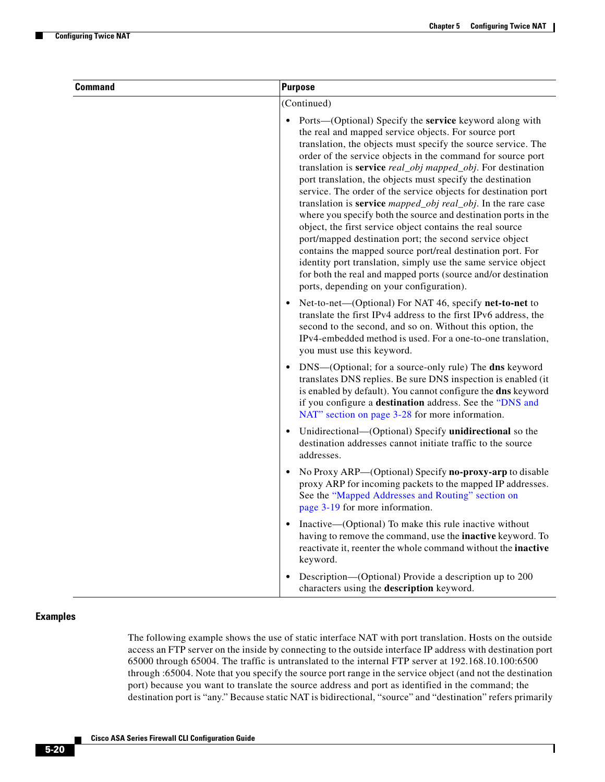$\mathbf I$ 

| <b>Command</b> | <b>Purpose</b>                                                                                                                                                                                                                                                                                                                                                                                                                                                                                                                                                                                                                                                                                                                                                                                                                                                                                                                                                      |
|----------------|---------------------------------------------------------------------------------------------------------------------------------------------------------------------------------------------------------------------------------------------------------------------------------------------------------------------------------------------------------------------------------------------------------------------------------------------------------------------------------------------------------------------------------------------------------------------------------------------------------------------------------------------------------------------------------------------------------------------------------------------------------------------------------------------------------------------------------------------------------------------------------------------------------------------------------------------------------------------|
|                | (Continued)                                                                                                                                                                                                                                                                                                                                                                                                                                                                                                                                                                                                                                                                                                                                                                                                                                                                                                                                                         |
|                | Ports—(Optional) Specify the service keyword along with<br>the real and mapped service objects. For source port<br>translation, the objects must specify the source service. The<br>order of the service objects in the command for source port<br>translation is service real_obj mapped_obj. For destination<br>port translation, the objects must specify the destination<br>service. The order of the service objects for destination port<br>translation is <b>service</b> <i>mapped_obj real_obj</i> . In the rare case<br>where you specify both the source and destination ports in the<br>object, the first service object contains the real source<br>port/mapped destination port; the second service object<br>contains the mapped source port/real destination port. For<br>identity port translation, simply use the same service object<br>for both the real and mapped ports (source and/or destination<br>ports, depending on your configuration). |
|                | Net-to-net—(Optional) For NAT 46, specify net-to-net to<br>$\bullet$<br>translate the first IPv4 address to the first IPv6 address, the<br>second to the second, and so on. Without this option, the<br>IPv4-embedded method is used. For a one-to-one translation,<br>you must use this keyword.                                                                                                                                                                                                                                                                                                                                                                                                                                                                                                                                                                                                                                                                   |
|                | DNS—(Optional; for a source-only rule) The dns keyword<br>translates DNS replies. Be sure DNS inspection is enabled (it<br>is enabled by default). You cannot configure the dns keyword<br>if you configure a destination address. See the "DNS and<br>NAT" section on page 3-28 for more information.                                                                                                                                                                                                                                                                                                                                                                                                                                                                                                                                                                                                                                                              |
|                | Unidirectional—(Optional) Specify unidirectional so the<br>$\bullet$<br>destination addresses cannot initiate traffic to the source<br>addresses.                                                                                                                                                                                                                                                                                                                                                                                                                                                                                                                                                                                                                                                                                                                                                                                                                   |
|                | No Proxy ARP—(Optional) Specify no-proxy-arp to disable<br>proxy ARP for incoming packets to the mapped IP addresses.<br>See the "Mapped Addresses and Routing" section on<br>page 3-19 for more information.                                                                                                                                                                                                                                                                                                                                                                                                                                                                                                                                                                                                                                                                                                                                                       |
|                | Inactive—(Optional) To make this rule inactive without<br>$\bullet$<br>having to remove the command, use the inactive keyword. To<br>reactivate it, reenter the whole command without the inactive<br>keyword.                                                                                                                                                                                                                                                                                                                                                                                                                                                                                                                                                                                                                                                                                                                                                      |
|                | Description—(Optional) Provide a description up to 200<br>characters using the description keyword.                                                                                                                                                                                                                                                                                                                                                                                                                                                                                                                                                                                                                                                                                                                                                                                                                                                                 |

### **Examples**

The following example shows the use of static interface NAT with port translation. Hosts on the outside access an FTP server on the inside by connecting to the outside interface IP address with destination port 65000 through 65004. The traffic is untranslated to the internal FTP server at 192.168.10.100:6500 through :65004. Note that you specify the source port range in the service object (and not the destination port) because you want to translate the source address and port as identified in the command; the destination port is "any." Because static NAT is bidirectional, "source" and "destination" refers primarily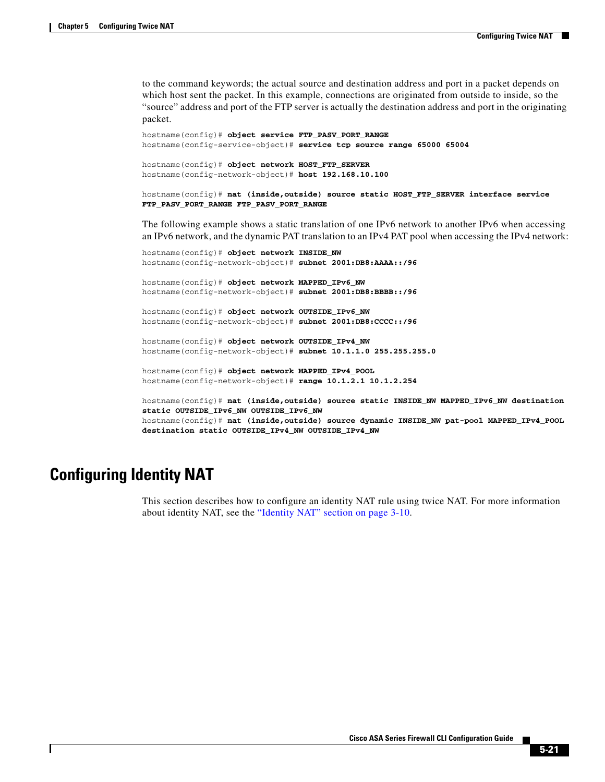to the command keywords; the actual source and destination address and port in a packet depends on which host sent the packet. In this example, connections are originated from outside to inside, so the "source" address and port of the FTP server is actually the destination address and port in the originating packet.

```
hostname(config)# object service FTP_PASV_PORT_RANGE
hostname(config-service-object)# service tcp source range 65000 65004
hostname(config)# object network HOST_FTP_SERVER
hostname(config-network-object)# host 192.168.10.100
```

```
hostname(config)# nat (inside,outside) source static HOST_FTP_SERVER interface service 
FTP_PASV_PORT_RANGE FTP_PASV_PORT_RANGE
```
The following example shows a static translation of one IPv6 network to another IPv6 when accessing an IPv6 network, and the dynamic PAT translation to an IPv4 PAT pool when accessing the IPv4 network:

```
hostname(config)# object network INSIDE_NW
hostname(config-network-object)# subnet 2001:DB8:AAAA::/96
hostname(config)# object network MAPPED_IPv6_NW
hostname(config-network-object)# subnet 2001:DB8:BBBB::/96
hostname(config)# object network OUTSIDE_IPv6_NW
hostname(config-network-object)# subnet 2001:DB8:CCCC::/96
hostname(config)# object network OUTSIDE_IPv4_NW
hostname(config-network-object)# subnet 10.1.1.0 255.255.255.0
hostname(config)# object network MAPPED_IPv4_POOL
hostname(config-network-object)# range 10.1.2.1 10.1.2.254
hostname(config)# nat (inside,outside) source static INSIDE_NW MAPPED_IPv6_NW destination 
static OUTSIDE_IPv6_NW OUTSIDE_IPv6_NW
hostname(config)# nat (inside,outside) source dynamic INSIDE_NW pat-pool MAPPED_IPv4_POOL 
destination static OUTSIDE_IPv4_NW OUTSIDE_IPv4_NW
```
## <span id="page-20-0"></span>**Configuring Identity NAT**

This section describes how to configure an identity NAT rule using twice NAT. For more information about identity NAT, see the "Identity NAT" section on page 3-10.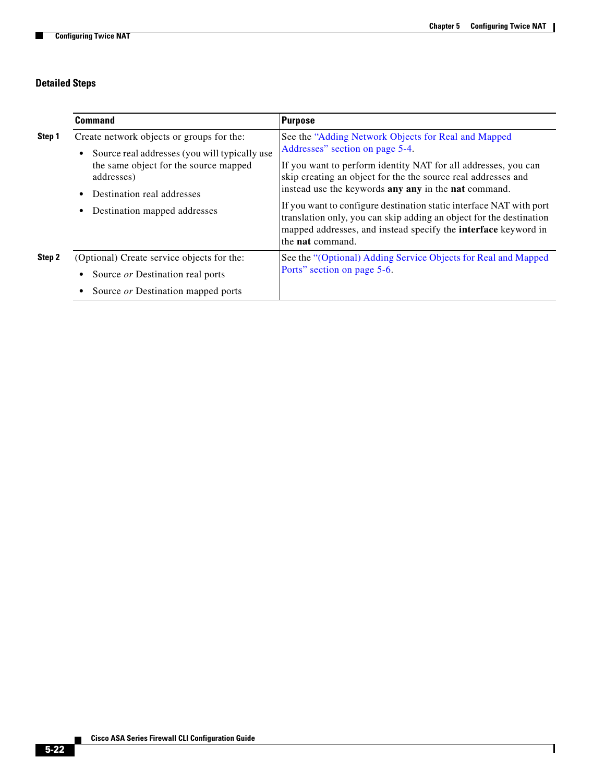## **Detailed Steps**

H

|        | Command                                                                                                                                                                                                                                | Purpose                                                                                                                                                                                                                                                                                                                                                                                                                                                                                                                             |
|--------|----------------------------------------------------------------------------------------------------------------------------------------------------------------------------------------------------------------------------------------|-------------------------------------------------------------------------------------------------------------------------------------------------------------------------------------------------------------------------------------------------------------------------------------------------------------------------------------------------------------------------------------------------------------------------------------------------------------------------------------------------------------------------------------|
| Step 1 | Create network objects or groups for the:<br>Source real addresses (you will typically use<br>$\bullet$<br>the same object for the source mapped<br>addresses)<br>Destination real addresses<br>٠<br>Destination mapped addresses<br>٠ | See the "Adding Network Objects for Real and Mapped<br>Addresses" section on page 5-4.<br>If you want to perform identity NAT for all addresses, you can<br>skip creating an object for the the source real addresses and<br>instead use the keywords any any in the nat command.<br>If you want to configure destination static interface NAT with port<br>translation only, you can skip adding an object for the destination<br>mapped addresses, and instead specify the <b>interface</b> keyword in<br>the <b>nat</b> command. |
| Step 2 | (Optional) Create service objects for the:<br>Source or Destination real ports<br>٠<br>Source or Destination mapped ports                                                                                                              | See the "(Optional) Adding Service Objects for Real and Mapped<br>Ports" section on page 5-6.                                                                                                                                                                                                                                                                                                                                                                                                                                       |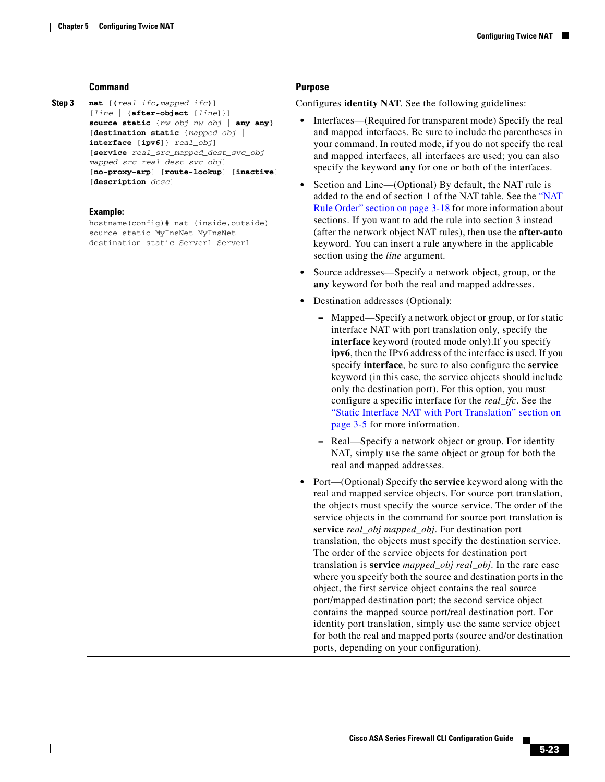$\mathbf{I}$ 

|        | <b>Command</b>                                                                                                                                                                                                                                                                                                                                                                                 | <b>Purpose</b>                                                                                                                                                                                                                                                                                                                                                                                                                                                                                                                                                                                                                                                                                                                                                                                                                                                                                                                                                                         |  |  |  |
|--------|------------------------------------------------------------------------------------------------------------------------------------------------------------------------------------------------------------------------------------------------------------------------------------------------------------------------------------------------------------------------------------------------|----------------------------------------------------------------------------------------------------------------------------------------------------------------------------------------------------------------------------------------------------------------------------------------------------------------------------------------------------------------------------------------------------------------------------------------------------------------------------------------------------------------------------------------------------------------------------------------------------------------------------------------------------------------------------------------------------------------------------------------------------------------------------------------------------------------------------------------------------------------------------------------------------------------------------------------------------------------------------------------|--|--|--|
| Step 3 | nat [(real_ifc, mapped_ifc)]<br>[line   {after-object [line]}]                                                                                                                                                                                                                                                                                                                                 | Configures identity NAT. See the following guidelines:                                                                                                                                                                                                                                                                                                                                                                                                                                                                                                                                                                                                                                                                                                                                                                                                                                                                                                                                 |  |  |  |
|        | source static {nw_obj nw_obj   any any}<br>[destination static {mapped_obj  <br>interface [ipv6]} real_obj]<br>[service real_src_mapped_dest_svc_obj<br>mapped_src_real_dest_svc_obj]<br>[no-proxy-arp] [route-lookup] [inactive]<br>[description desc]<br><b>Example:</b><br>hostname(config)# nat (inside, outside)<br>source static MyInsNet MyInsNet<br>destination static Server1 Server1 | Interfaces—(Required for transparent mode) Specify the real<br>and mapped interfaces. Be sure to include the parentheses in<br>your command. In routed mode, if you do not specify the real<br>and mapped interfaces, all interfaces are used; you can also<br>specify the keyword any for one or both of the interfaces.                                                                                                                                                                                                                                                                                                                                                                                                                                                                                                                                                                                                                                                              |  |  |  |
|        |                                                                                                                                                                                                                                                                                                                                                                                                | Section and Line—(Optional) By default, the NAT rule is<br>$\bullet$<br>added to the end of section 1 of the NAT table. See the "NAT<br>Rule Order" section on page 3-18 for more information about<br>sections. If you want to add the rule into section 3 instead<br>(after the network object NAT rules), then use the after-auto<br>keyword. You can insert a rule anywhere in the applicable<br>section using the line argument.                                                                                                                                                                                                                                                                                                                                                                                                                                                                                                                                                  |  |  |  |
|        |                                                                                                                                                                                                                                                                                                                                                                                                | Source addresses—Specify a network object, group, or the<br>$\bullet$<br>any keyword for both the real and mapped addresses.                                                                                                                                                                                                                                                                                                                                                                                                                                                                                                                                                                                                                                                                                                                                                                                                                                                           |  |  |  |
|        |                                                                                                                                                                                                                                                                                                                                                                                                | Destination addresses (Optional):                                                                                                                                                                                                                                                                                                                                                                                                                                                                                                                                                                                                                                                                                                                                                                                                                                                                                                                                                      |  |  |  |
|        |                                                                                                                                                                                                                                                                                                                                                                                                | Mapped—Specify a network object or group, or for static<br>interface NAT with port translation only, specify the<br>interface keyword (routed mode only). If you specify<br>ipv6, then the IPv6 address of the interface is used. If you<br>specify interface, be sure to also configure the service<br>keyword (in this case, the service objects should include<br>only the destination port). For this option, you must<br>configure a specific interface for the <i>real_ifc</i> . See the<br>"Static Interface NAT with Port Translation" section on<br>page 3-5 for more information.                                                                                                                                                                                                                                                                                                                                                                                            |  |  |  |
|        |                                                                                                                                                                                                                                                                                                                                                                                                | - Real—Specify a network object or group. For identity<br>NAT, simply use the same object or group for both the<br>real and mapped addresses.                                                                                                                                                                                                                                                                                                                                                                                                                                                                                                                                                                                                                                                                                                                                                                                                                                          |  |  |  |
|        |                                                                                                                                                                                                                                                                                                                                                                                                | Port—(Optional) Specify the <b>service</b> keyword along with the<br>$\bullet$<br>real and mapped service objects. For source port translation,<br>the objects must specify the source service. The order of the<br>service objects in the command for source port translation is<br>service real_obj mapped_obj. For destination port<br>translation, the objects must specify the destination service.<br>The order of the service objects for destination port<br>translation is <b>service</b> <i>mapped_obj real_obj</i> . In the rare case<br>where you specify both the source and destination ports in the<br>object, the first service object contains the real source<br>port/mapped destination port; the second service object<br>contains the mapped source port/real destination port. For<br>identity port translation, simply use the same service object<br>for both the real and mapped ports (source and/or destination<br>ports, depending on your configuration). |  |  |  |

 $\blacksquare$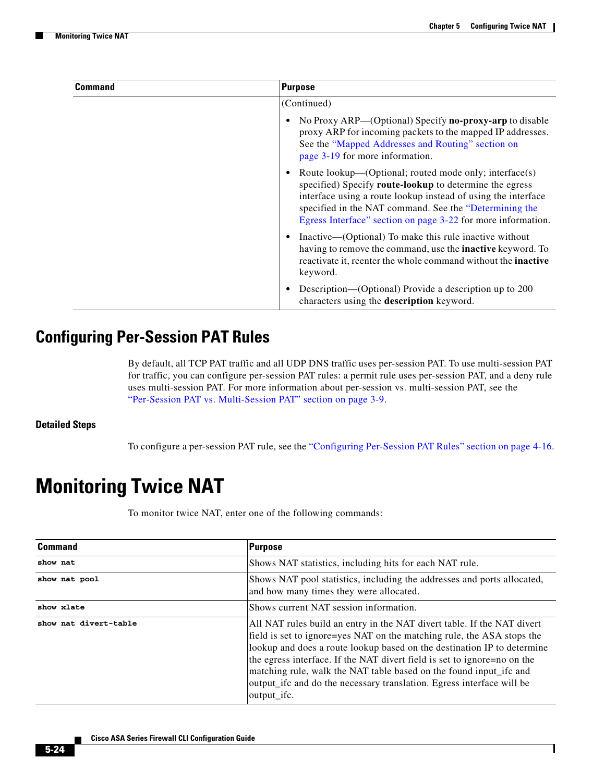ן

| Command | Purpose                                                                                                                                                                                                                                                                                                      |
|---------|--------------------------------------------------------------------------------------------------------------------------------------------------------------------------------------------------------------------------------------------------------------------------------------------------------------|
|         | (Continued)                                                                                                                                                                                                                                                                                                  |
|         | No Proxy ARP—(Optional) Specify <b>no-proxy-arp</b> to disable<br>proxy ARP for incoming packets to the mapped IP addresses.<br>See the "Mapped Addresses and Routing" section on<br>page 3-19 for more information.                                                                                         |
|         | Route lookup—(Optional; routed mode only; interface(s)<br>specified) Specify route-lookup to determine the egress<br>interface using a route lookup instead of using the interface<br>specified in the NAT command. See the "Determining the<br>Egress Interface" section on page 3-22 for more information. |
|         | Inactive—(Optional) To make this rule inactive without<br>having to remove the command, use the <b>inactive</b> keyword. To<br>reactivate it, reenter the whole command without the <b>inactive</b><br>keyword.                                                                                              |
|         | Description—(Optional) Provide a description up to 200<br>characters using the description keyword.                                                                                                                                                                                                          |

## <span id="page-23-2"></span><span id="page-23-1"></span>**Configuring Per-Session PAT Rules**

By default, all TCP PAT traffic and all UDP DNS traffic uses per-session PAT. To use multi-session PAT for traffic, you can configure per-session PAT rules: a permit rule uses per-session PAT, and a deny rule uses multi-session PAT. For more information about per-session vs. multi-session PAT, see the "Per-Session PAT vs. Multi-Session PAT" section on page 3-9.

### **Detailed Steps**

To configure a per-session PAT rule, see the ["Configuring Per-Session PAT Rules" section on page 4-16.](#page-23-2)

# <span id="page-23-0"></span>**Monitoring Twice NAT**

To monitor twice NAT, enter one of the following commands:

| <b>Command</b>        | <b>Purpose</b>                                                                                                                                                                                                                                                                                                                                                                                                                                                         |  |  |  |
|-----------------------|------------------------------------------------------------------------------------------------------------------------------------------------------------------------------------------------------------------------------------------------------------------------------------------------------------------------------------------------------------------------------------------------------------------------------------------------------------------------|--|--|--|
| show nat              | Shows NAT statistics, including hits for each NAT rule.                                                                                                                                                                                                                                                                                                                                                                                                                |  |  |  |
| show nat pool         | Shows NAT pool statistics, including the addresses and ports allocated,<br>and how many times they were allocated.                                                                                                                                                                                                                                                                                                                                                     |  |  |  |
| show xlate            | Shows current NAT session information.                                                                                                                                                                                                                                                                                                                                                                                                                                 |  |  |  |
| show nat divert-table | All NAT rules build an entry in the NAT divert table. If the NAT divert<br>field is set to ignore=yes NAT on the matching rule, the ASA stops the<br>lookup and does a route lookup based on the destination IP to determine<br>the egress interface. If the NAT divert field is set to ignore=no on the<br>matching rule, walk the NAT table based on the found input_ifc and<br>output_ifc and do the necessary translation. Egress interface will be<br>output_ifc. |  |  |  |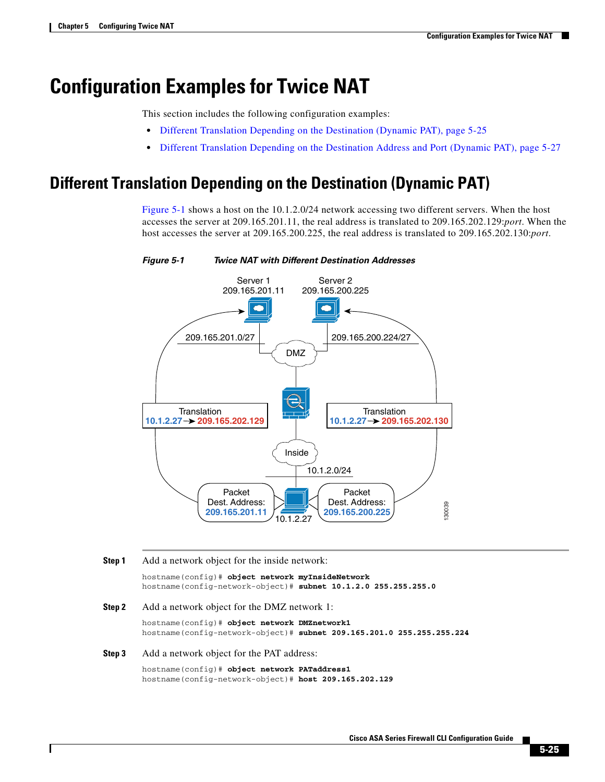# <span id="page-24-0"></span>**Configuration Examples for Twice NAT**

This section includes the following configuration examples:

- [Different Translation Depending on the Destination \(Dynamic PAT\), page 5-25](#page-24-1)
- [Different Translation Depending on the Destination Address and Port \(Dynamic PAT\), page 5-27](#page-26-0)

## <span id="page-24-1"></span>**Different Translation Depending on the Destination (Dynamic PAT)**

[Figure 5-1](#page-24-2) shows a host on the 10.1.2.0/24 network accessing two different servers. When the host accesses the server at 209.165.201.11, the real address is translated to 209.165.202.129:*port*. When the host accesses the server at 209.165.200.225, the real address is translated to 209.165.202.130:*port*.



<span id="page-24-2"></span>

### **Step 1** Add a network object for the inside network:

hostname(config)# **object network myInsideNetwork** hostname(config-network-object)# **subnet 10.1.2.0 255.255.255.0**

**Step 2** Add a network object for the DMZ network 1:

hostname(config)# **object network DMZnetwork1** hostname(config-network-object)# **subnet 209.165.201.0 255.255.255.224**

### **Step 3** Add a network object for the PAT address:

hostname(config)# **object network PATaddress1** hostname(config-network-object)# **host 209.165.202.129**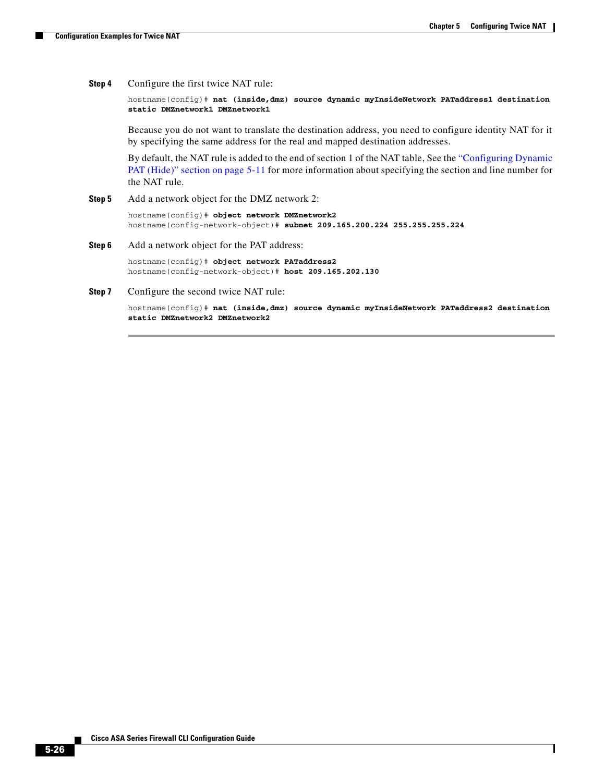I

**Step 4** Configure the first twice NAT rule:

hostname(config)# **nat (inside,dmz) source dynamic myInsideNetwork PATaddress1 destination static DMZnetwork1 DMZnetwork1**

Because you do not want to translate the destination address, you need to configure identity NAT for it by specifying the same address for the real and mapped destination addresses.

By default, the NAT rule is added to the end of section 1 of the NAT table, See the ["Configuring Dynamic](#page-10-0)  [PAT \(Hide\)" section on page 5-11](#page-10-0) for more information about specifying the section and line number for the NAT rule.

**Step 5** Add a network object for the DMZ network 2:

hostname(config)# **object network DMZnetwork2** hostname(config-network-object)# **subnet 209.165.200.224 255.255.255.224**

**Step 6** Add a network object for the PAT address:

hostname(config)# **object network PATaddress2** hostname(config-network-object)# **host 209.165.202.130**

**Step 7** Configure the second twice NAT rule:

hostname(config)# **nat (inside,dmz) source dynamic myInsideNetwork PATaddress2 destination static DMZnetwork2 DMZnetwork2**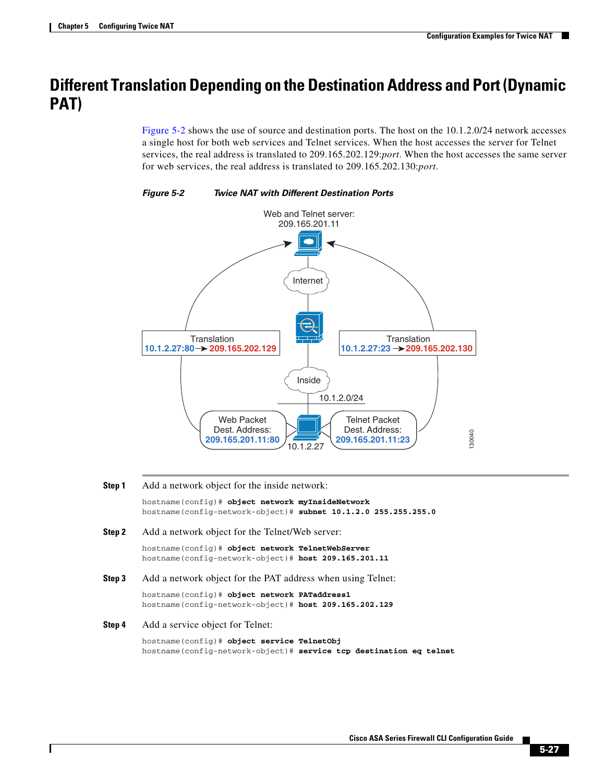## <span id="page-26-0"></span>**Different Translation Depending on the Destination Address and Port (Dynamic PAT)**

[Figure 5-2](#page-26-1) shows the use of source and destination ports. The host on the 10.1.2.0/24 network accesses a single host for both web services and Telnet services. When the host accesses the server for Telnet services, the real address is translated to 209.165.202.129:*port*. When the host accesses the same server for web services, the real address is translated to 209.165.202.130:*port*.



<span id="page-26-1"></span>*Figure 5-2 Twice NAT with Different Destination Ports*

**Step 1** Add a network object for the inside network:

hostname(config)# **object network myInsideNetwork** hostname(config-network-object)# **subnet 10.1.2.0 255.255.255.0**

**Step 2** Add a network object for the Telnet/Web server:

hostname(config)# **object network TelnetWebServer** hostname(config-network-object)# **host 209.165.201.11**

**Step 3** Add a network object for the PAT address when using Telnet:

hostname(config)# **object network PATaddress1** hostname(config-network-object)# **host 209.165.202.129**

**Step 4** Add a service object for Telnet:

hostname(config)# **object service TelnetObj** hostname(config-network-object)# **service tcp destination eq telnet**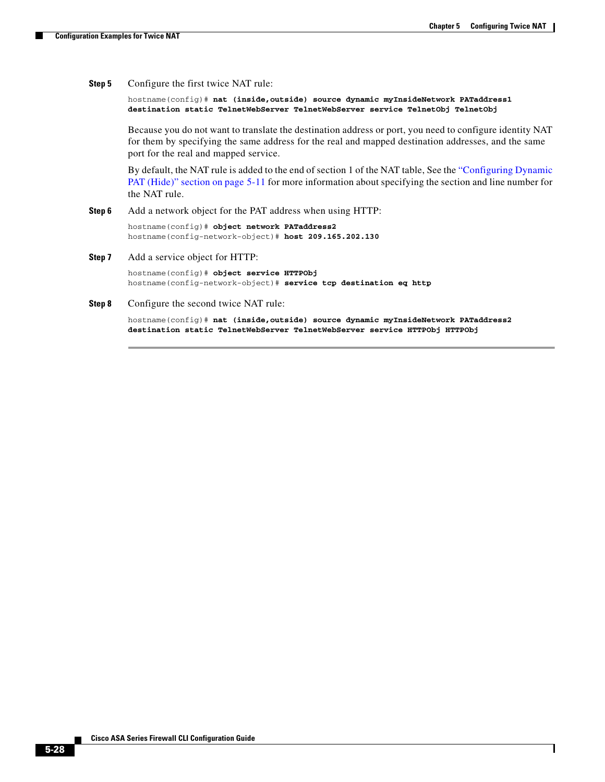$\overline{\phantom{a}}$ 

**Step 5** Configure the first twice NAT rule:

hostname(config)# **nat (inside,outside) source dynamic myInsideNetwork PATaddress1 destination static TelnetWebServer TelnetWebServer service TelnetObj TelnetObj**

Because you do not want to translate the destination address or port, you need to configure identity NAT for them by specifying the same address for the real and mapped destination addresses, and the same port for the real and mapped service.

By default, the NAT rule is added to the end of section 1 of the NAT table, See the ["Configuring Dynamic](#page-10-0)  [PAT \(Hide\)" section on page 5-11](#page-10-0) for more information about specifying the section and line number for the NAT rule.

**Step 6** Add a network object for the PAT address when using HTTP:

hostname(config)# **object network PATaddress2** hostname(config-network-object)# **host 209.165.202.130**

**Step 7** Add a service object for HTTP:

hostname(config)# **object service HTTPObj** hostname(config-network-object)# **service tcp destination eq http**

#### **Step 8** Configure the second twice NAT rule:

hostname(config)# **nat (inside,outside) source dynamic myInsideNetwork PATaddress2 destination static TelnetWebServer TelnetWebServer service HTTPObj HTTPObj**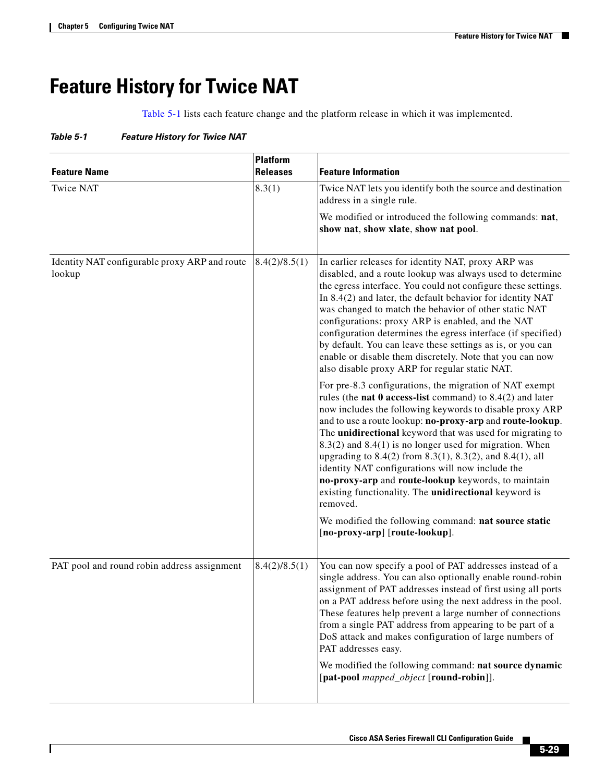$\overline{\phantom{a}}$ 

# <span id="page-28-0"></span>**Feature History for Twice NAT**

[Table 5-1](#page-28-1) lists each feature change and the platform release in which it was implemented.

<span id="page-28-1"></span>*Table 5-1 Feature History for Twice NAT*

| <b>Feature Name</b>                                     | <b>Platform</b><br><b>Releases</b> | <b>Feature Information</b>                                                                                                                                                                                                                                                                                                                                                                                                                                                                                                                                                                                                                                           |  |  |
|---------------------------------------------------------|------------------------------------|----------------------------------------------------------------------------------------------------------------------------------------------------------------------------------------------------------------------------------------------------------------------------------------------------------------------------------------------------------------------------------------------------------------------------------------------------------------------------------------------------------------------------------------------------------------------------------------------------------------------------------------------------------------------|--|--|
| <b>Twice NAT</b>                                        | 8.3(1)                             | Twice NAT lets you identify both the source and destination<br>address in a single rule.                                                                                                                                                                                                                                                                                                                                                                                                                                                                                                                                                                             |  |  |
|                                                         |                                    | We modified or introduced the following commands: nat,<br>show nat, show xlate, show nat pool.                                                                                                                                                                                                                                                                                                                                                                                                                                                                                                                                                                       |  |  |
| Identity NAT configurable proxy ARP and route<br>lookup | 8.4(2)/8.5(1)                      | In earlier releases for identity NAT, proxy ARP was<br>disabled, and a route lookup was always used to determine<br>the egress interface. You could not configure these settings.<br>In 8.4(2) and later, the default behavior for identity NAT<br>was changed to match the behavior of other static NAT<br>configurations: proxy ARP is enabled, and the NAT<br>configuration determines the egress interface (if specified)<br>by default. You can leave these settings as is, or you can<br>enable or disable them discretely. Note that you can now<br>also disable proxy ARP for regular static NAT.<br>For pre-8.3 configurations, the migration of NAT exempt |  |  |
|                                                         |                                    | rules (the <b>nat 0 access-list</b> command) to $8.4(2)$ and later<br>now includes the following keywords to disable proxy ARP<br>and to use a route lookup: no-proxy-arp and route-lookup.<br>The unidirectional keyword that was used for migrating to<br>$8.3(2)$ and $8.4(1)$ is no longer used for migration. When<br>upgrading to 8.4(2) from 8.3(1), 8.3(2), and 8.4(1), all<br>identity NAT configurations will now include the<br>no-proxy-arp and route-lookup keywords, to maintain<br>existing functionality. The unidirectional keyword is<br>removed.                                                                                                  |  |  |
|                                                         |                                    | We modified the following command: nat source static<br>[no-proxy-arp] [route-lookup].                                                                                                                                                                                                                                                                                                                                                                                                                                                                                                                                                                               |  |  |
| PAT pool and round robin address assignment             | 8.4(2)/8.5(1)                      | You can now specify a pool of PAT addresses instead of a<br>single address. You can also optionally enable round-robin<br>assignment of PAT addresses instead of first using all ports<br>on a PAT address before using the next address in the pool.<br>These features help prevent a large number of connections<br>from a single PAT address from appearing to be part of a<br>DoS attack and makes configuration of large numbers of<br>PAT addresses easy.                                                                                                                                                                                                      |  |  |
|                                                         |                                    | We modified the following command: nat source dynamic<br>[pat-pool mapped_object [round-robin]].                                                                                                                                                                                                                                                                                                                                                                                                                                                                                                                                                                     |  |  |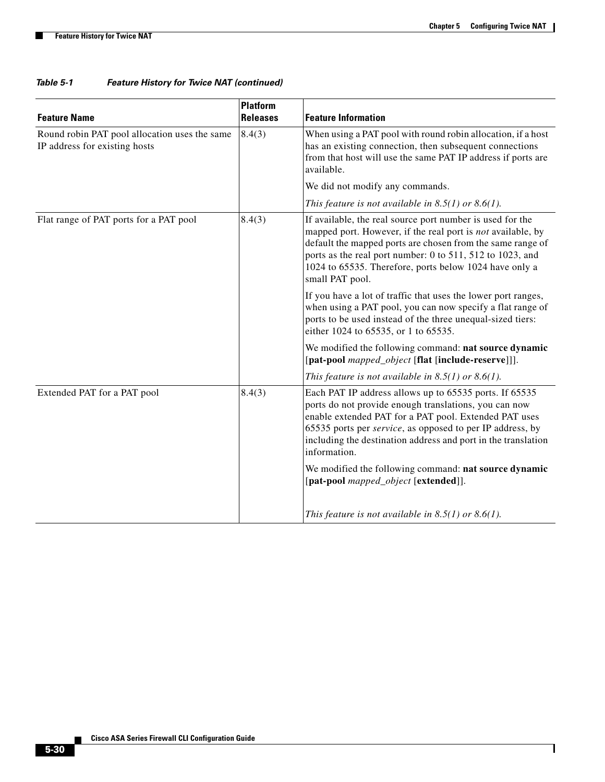**The Second Second** 

| <b>Feature Name</b>                                                            | <b>Platform</b><br><b>Releases</b> | <b>Feature Information</b>                                                                                                                                                                                                                                                                                                       |  |  |  |
|--------------------------------------------------------------------------------|------------------------------------|----------------------------------------------------------------------------------------------------------------------------------------------------------------------------------------------------------------------------------------------------------------------------------------------------------------------------------|--|--|--|
| Round robin PAT pool allocation uses the same<br>IP address for existing hosts | 8.4(3)                             | When using a PAT pool with round robin allocation, if a host<br>has an existing connection, then subsequent connections<br>from that host will use the same PAT IP address if ports are<br>available.                                                                                                                            |  |  |  |
|                                                                                |                                    | We did not modify any commands.                                                                                                                                                                                                                                                                                                  |  |  |  |
|                                                                                |                                    | This feature is not available in $8.5(1)$ or $8.6(1)$ .                                                                                                                                                                                                                                                                          |  |  |  |
| Flat range of PAT ports for a PAT pool                                         | 8.4(3)                             | If available, the real source port number is used for the<br>mapped port. However, if the real port is not available, by<br>default the mapped ports are chosen from the same range of<br>ports as the real port number: 0 to 511, 512 to 1023, and<br>1024 to 65535. Therefore, ports below 1024 have only a<br>small PAT pool. |  |  |  |
|                                                                                |                                    | If you have a lot of traffic that uses the lower port ranges,<br>when using a PAT pool, you can now specify a flat range of<br>ports to be used instead of the three unequal-sized tiers:<br>either 1024 to 65535, or 1 to 65535.                                                                                                |  |  |  |
|                                                                                |                                    | We modified the following command: nat source dynamic<br>[pat-pool mapped_object [flat [include-reserve]]].                                                                                                                                                                                                                      |  |  |  |
|                                                                                |                                    | This feature is not available in $8.5(1)$ or $8.6(1)$ .                                                                                                                                                                                                                                                                          |  |  |  |
| Extended PAT for a PAT pool                                                    | 8.4(3)                             | Each PAT IP address allows up to 65535 ports. If 65535<br>ports do not provide enough translations, you can now<br>enable extended PAT for a PAT pool. Extended PAT uses<br>65535 ports per service, as opposed to per IP address, by<br>including the destination address and port in the translation<br>information.           |  |  |  |
|                                                                                |                                    | We modified the following command: nat source dynamic<br>[pat-pool mapped_object [extended]].                                                                                                                                                                                                                                    |  |  |  |
|                                                                                |                                    | This feature is not available in $8.5(1)$ or $8.6(1)$ .                                                                                                                                                                                                                                                                          |  |  |  |

## *Table 5-1 Feature History for Twice NAT (continued)*

٠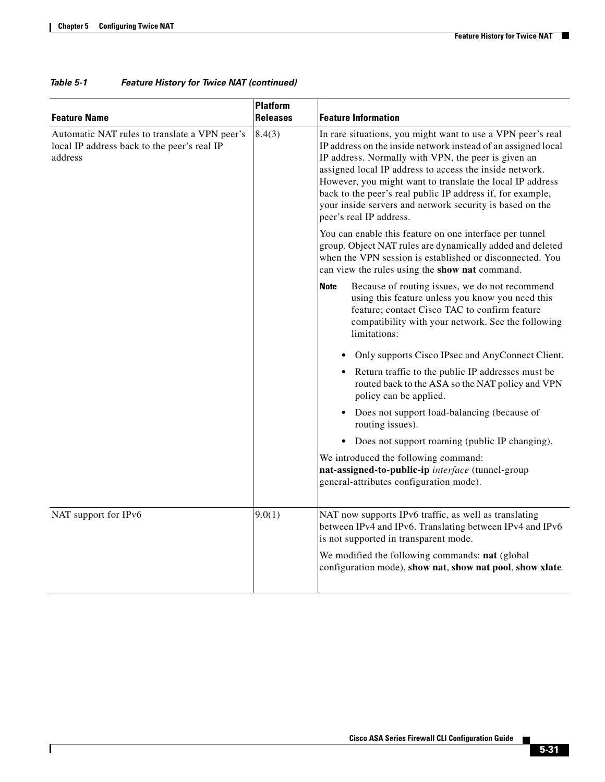$\mathbf{I}$ 

| <b>Feature Name</b>                                                                                     | <b>Platform</b><br><b>Releases</b> | <b>Feature Information</b>                                                                                                                                                                                                                                                                                                                                                                                                                                       |  |  |  |
|---------------------------------------------------------------------------------------------------------|------------------------------------|------------------------------------------------------------------------------------------------------------------------------------------------------------------------------------------------------------------------------------------------------------------------------------------------------------------------------------------------------------------------------------------------------------------------------------------------------------------|--|--|--|
| Automatic NAT rules to translate a VPN peer's<br>local IP address back to the peer's real IP<br>address | 8.4(3)                             | In rare situations, you might want to use a VPN peer's real<br>IP address on the inside network instead of an assigned local<br>IP address. Normally with VPN, the peer is given an<br>assigned local IP address to access the inside network.<br>However, you might want to translate the local IP address<br>back to the peer's real public IP address if, for example,<br>your inside servers and network security is based on the<br>peer's real IP address. |  |  |  |
|                                                                                                         |                                    | You can enable this feature on one interface per tunnel<br>group. Object NAT rules are dynamically added and deleted<br>when the VPN session is established or disconnected. You<br>can view the rules using the show nat command.                                                                                                                                                                                                                               |  |  |  |
|                                                                                                         |                                    | Because of routing issues, we do not recommend<br><b>Note</b><br>using this feature unless you know you need this<br>feature; contact Cisco TAC to confirm feature<br>compatibility with your network. See the following<br>limitations:                                                                                                                                                                                                                         |  |  |  |
|                                                                                                         |                                    | Only supports Cisco IPsec and AnyConnect Client.                                                                                                                                                                                                                                                                                                                                                                                                                 |  |  |  |
|                                                                                                         |                                    | • Return traffic to the public IP addresses must be<br>routed back to the ASA so the NAT policy and VPN<br>policy can be applied.                                                                                                                                                                                                                                                                                                                                |  |  |  |
|                                                                                                         |                                    | Does not support load-balancing (because of<br>routing issues).                                                                                                                                                                                                                                                                                                                                                                                                  |  |  |  |
|                                                                                                         |                                    | • Does not support roaming (public IP changing).                                                                                                                                                                                                                                                                                                                                                                                                                 |  |  |  |
|                                                                                                         |                                    | We introduced the following command:<br>nat-assigned-to-public-ip interface (tunnel-group<br>general-attributes configuration mode).                                                                                                                                                                                                                                                                                                                             |  |  |  |
| NAT support for IPv6                                                                                    | 9.0(1)                             | NAT now supports IPv6 traffic, as well as translating<br>between IPv4 and IPv6. Translating between IPv4 and IPv6<br>is not supported in transparent mode.                                                                                                                                                                                                                                                                                                       |  |  |  |
|                                                                                                         |                                    | We modified the following commands: nat (global<br>configuration mode), show nat, show nat pool, show xlate.                                                                                                                                                                                                                                                                                                                                                     |  |  |  |

## *Table 5-1 Feature History for Twice NAT (continued)*